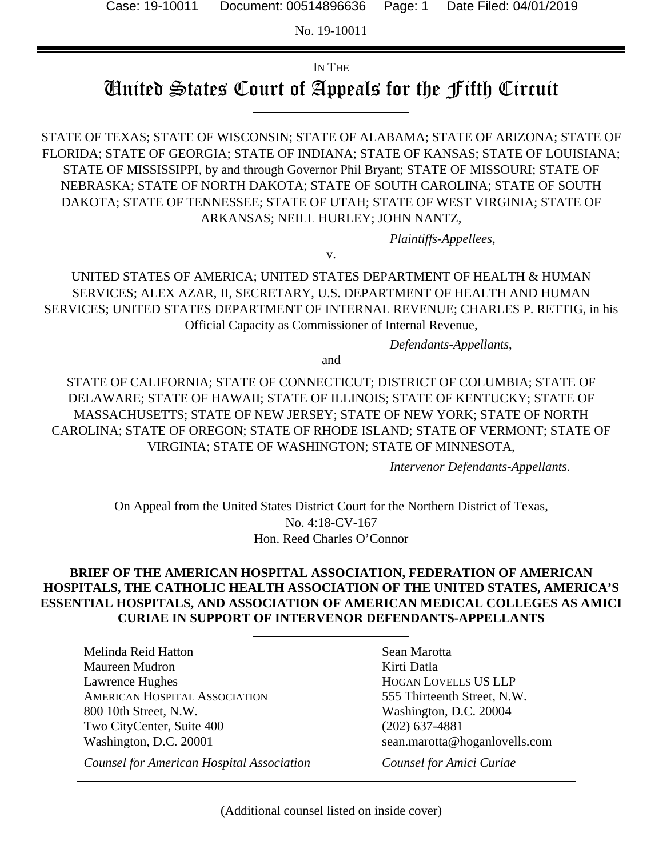No. 19-10011

### IN THE

# United States Court of Appeals for the Fifth Circuit

STATE OF TEXAS; STATE OF WISCONSIN; STATE OF ALABAMA; STATE OF ARIZONA; STATE OF FLORIDA; STATE OF GEORGIA; STATE OF INDIANA; STATE OF KANSAS; STATE OF LOUISIANA; STATE OF MISSISSIPPI, by and through Governor Phil Bryant; STATE OF MISSOURI; STATE OF NEBRASKA; STATE OF NORTH DAKOTA; STATE OF SOUTH CAROLINA; STATE OF SOUTH DAKOTA; STATE OF TENNESSEE; STATE OF UTAH; STATE OF WEST VIRGINIA; STATE OF ARKANSAS; NEILL HURLEY; JOHN NANTZ,

*Plaintiffs-Appellees*,

v.

UNITED STATES OF AMERICA; UNITED STATES DEPARTMENT OF HEALTH & HUMAN SERVICES; ALEX AZAR, II, SECRETARY, U.S. DEPARTMENT OF HEALTH AND HUMAN SERVICES; UNITED STATES DEPARTMENT OF INTERNAL REVENUE; CHARLES P. RETTIG, in his Official Capacity as Commissioner of Internal Revenue,

*Defendants-Appellants*,

and

STATE OF CALIFORNIA; STATE OF CONNECTICUT; DISTRICT OF COLUMBIA; STATE OF DELAWARE; STATE OF HAWAII; STATE OF ILLINOIS; STATE OF KENTUCKY; STATE OF MASSACHUSETTS; STATE OF NEW JERSEY; STATE OF NEW YORK; STATE OF NORTH CAROLINA; STATE OF OREGON; STATE OF RHODE ISLAND; STATE OF VERMONT; STATE OF VIRGINIA; STATE OF WASHINGTON; STATE OF MINNESOTA,

*Intervenor Defendants-Appellants.* 

On Appeal from the United States District Court for the Northern District of Texas, No. 4:18-CV-167 Hon. Reed Charles O'Connor

#### **BRIEF OF THE AMERICAN HOSPITAL ASSOCIATION, FEDERATION OF AMERICAN HOSPITALS, THE CATHOLIC HEALTH ASSOCIATION OF THE UNITED STATES, AMERICA'S ESSENTIAL HOSPITALS, AND ASSOCIATION OF AMERICAN MEDICAL COLLEGES AS AMICI CURIAE IN SUPPORT OF INTERVENOR DEFENDANTS-APPELLANTS**

Melinda Reid Hatton Maureen Mudron Lawrence Hughes AMERICAN HOSPITAL ASSOCIATION 800 10th Street, N.W. Two CityCenter, Suite 400 Washington, D.C. 20001

*Counsel for American Hospital Association*

Sean Marotta Kirti Datla HOGAN LOVELLS US LLP 555 Thirteenth Street, N.W. Washington, D.C. 20004 (202) 637-4881 sean.marotta@hoganlovells.com

*Counsel for Amici Curiae*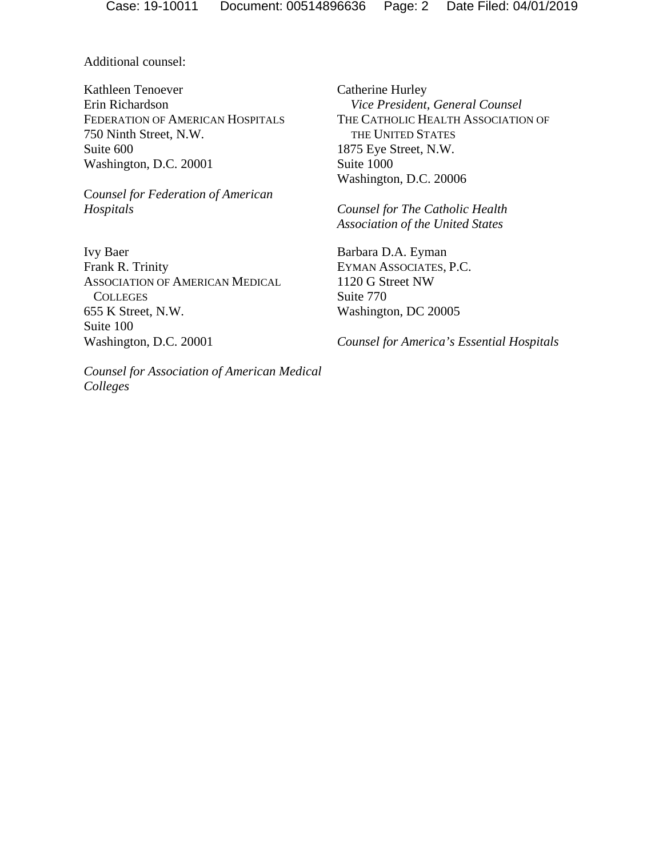Additional counsel:

Kathleen Tenoever Erin Richardson FEDERATION OF AMERICAN HOSPITALS 750 Ninth Street, N.W. Suite 600 Washington, D.C. 20001

C*ounsel for Federation of American Hospitals*

Ivy Baer Frank R. Trinity ASSOCIATION OF AMERICAN MEDICAL **COLLEGES** 655 K Street, N.W. Suite 100 Washington, D.C. 20001

*Counsel for Association of American Medical Colleges*

Catherine Hurley *Vice President, General Counsel*  THE CATHOLIC HEALTH ASSOCIATION OF THE UNITED STATES 1875 Eye Street, N.W. Suite 1000 Washington, D.C. 20006

*Counsel for The Catholic Health Association of the United States*

Barbara D.A. Eyman EYMAN ASSOCIATES, P.C. 1120 G Street NW Suite 770 Washington, DC 20005

*Counsel for America's Essential Hospitals*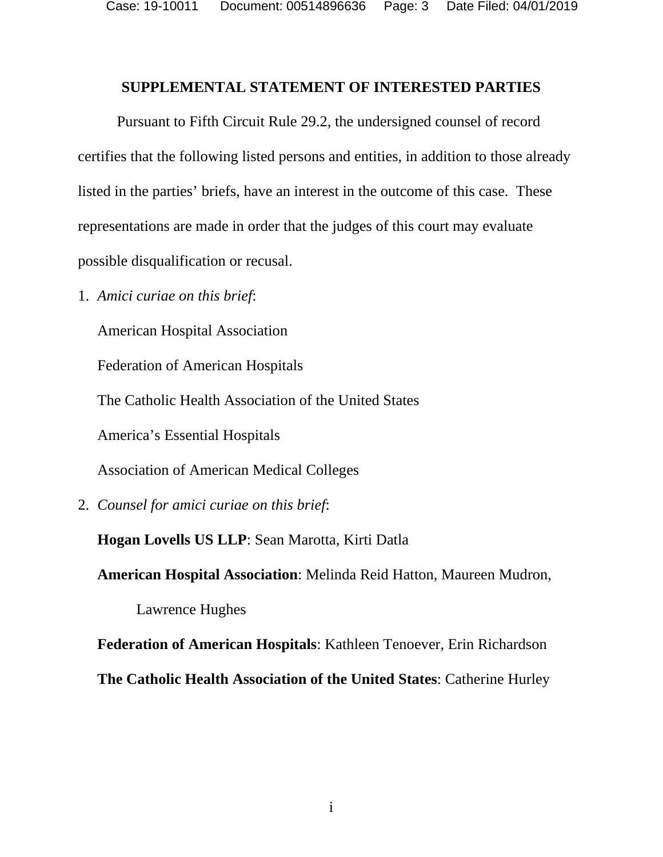Case: 19-10011 Document: 00514896636 Page: 3 Date Filed: 04/01/2019

#### **SUPPLEMENTAL STATEMENT OF INTERESTED PARTIES**

Pursuant to Fifth Circuit Rule 29.2, the undersigned counsel of record certifies that the following listed persons and entities, in addition to those already listed in the parties' briefs, have an interest in the outcome of this case. These representations are made in order that the judges of this court may evaluate possible disqualification or recusal.

1. *Amici curiae on this brief*:

American Hospital Association

Federation of American Hospitals

The Catholic Health Association of the United States

America's Essential Hospitals

Association of American Medical Colleges

2. *Counsel for amici curiae on this brief*:

**Hogan Lovells US LLP**: Sean Marotta, Kirti Datla

**American Hospital Association**: Melinda Reid Hatton, Maureen Mudron,

Lawrence Hughes

**Federation of American Hospitals**: Kathleen Tenoever, Erin Richardson

**The Catholic Health Association of the United States**: Catherine Hurley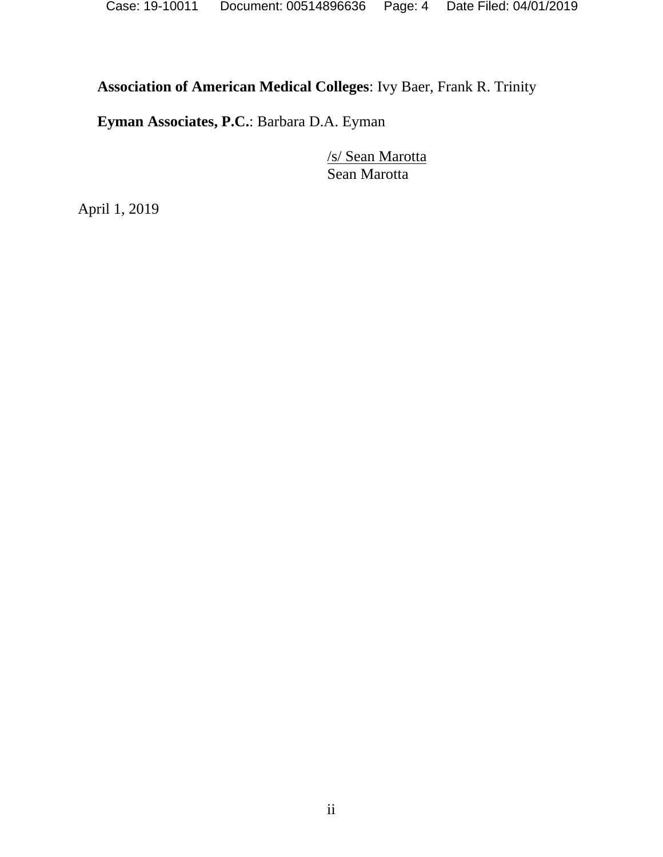# **Association of American Medical Colleges**: Ivy Baer, Frank R. Trinity

**Eyman Associates, P.C.**: Barbara D.A. Eyman

/s/ Sean Marotta Sean Marotta

April 1, 2019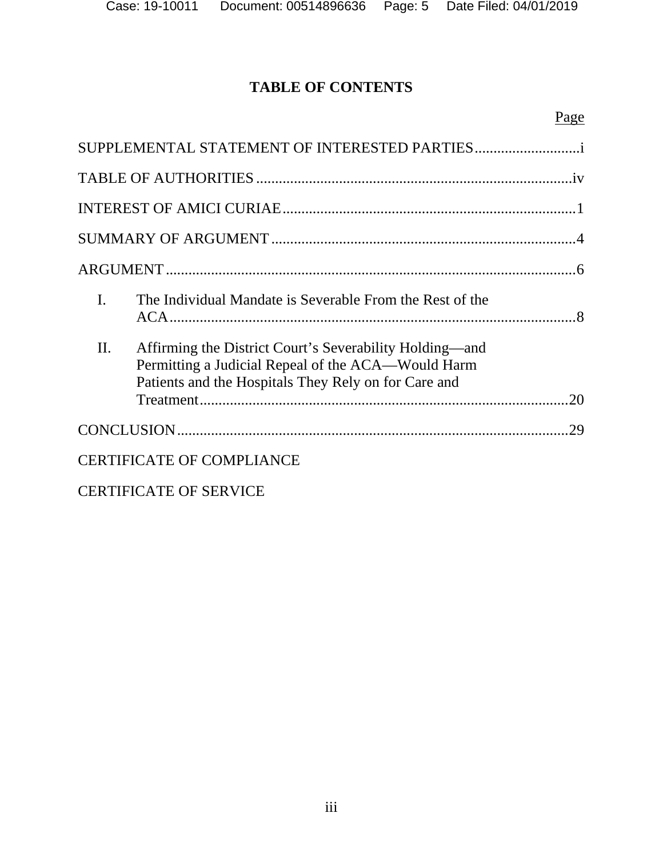# **TABLE OF CONTENTS**

|                |                                                                                                                                                                       | Page |
|----------------|-----------------------------------------------------------------------------------------------------------------------------------------------------------------------|------|
|                | SUPPLEMENTAL STATEMENT OF INTERESTED PARTIES                                                                                                                          |      |
|                |                                                                                                                                                                       |      |
|                |                                                                                                                                                                       |      |
|                |                                                                                                                                                                       |      |
|                |                                                                                                                                                                       |      |
| $\mathbf{I}$ . | The Individual Mandate is Severable From the Rest of the                                                                                                              |      |
| П.             | Affirming the District Court's Severability Holding—and<br>Permitting a Judicial Repeal of the ACA—Would Harm<br>Patients and the Hospitals They Rely on for Care and | 20   |
|                |                                                                                                                                                                       | 29   |
|                | <b>CERTIFICATE OF COMPLIANCE</b>                                                                                                                                      |      |
|                | <b>CERTIFICATE OF SERVICE</b>                                                                                                                                         |      |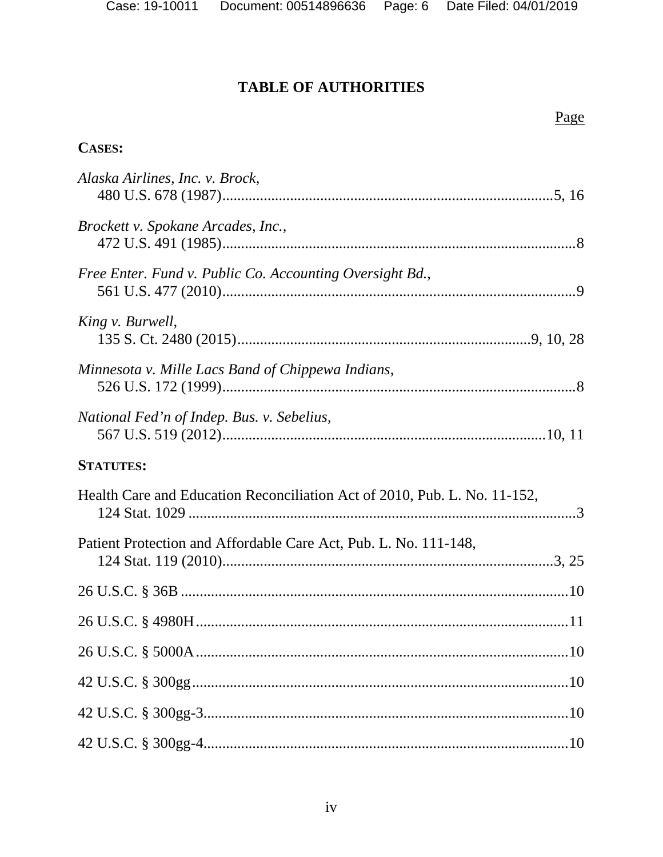<u>Page</u>

### **TABLE OF AUTHORITIES**

**CASES:** 

# Alaska Airlines, Inc. v. Brock, Brockett v. Spokane Arcades, Inc., Free Enter. Fund v. Public Co. Accounting Oversight Bd., King v. Burwell, Minnesota v. Mille Lacs Band of Chippewa Indians, National Fed'n of Indep. Bus. v. Sebelius, **STATUTES:** Health Care and Education Reconciliation Act of 2010, Pub. L. No. 11-152, Patient Protection and Affordable Care Act. Pub. L. No. 111-148

| I allent I following and Tribidable Care Tiet, I ab. E. Two. IIII-1-0, |  |
|------------------------------------------------------------------------|--|
|                                                                        |  |
|                                                                        |  |
|                                                                        |  |
|                                                                        |  |
|                                                                        |  |
|                                                                        |  |

 $iv$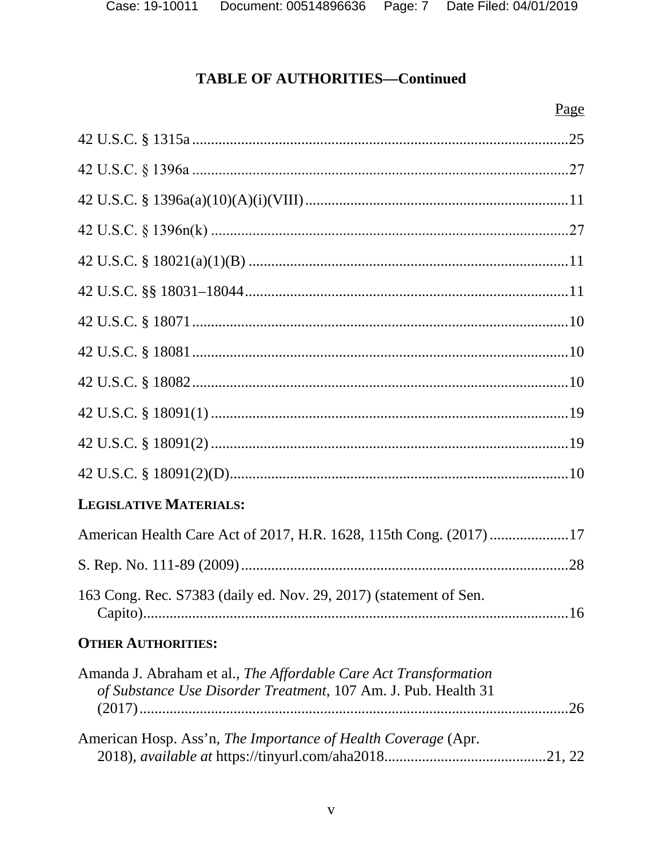# **TABLE OF AUTHORITIES-Continued**

| <b>LEGISLATIVE MATERIALS:</b>                                                                                                      |     |
|------------------------------------------------------------------------------------------------------------------------------------|-----|
| American Health Care Act of 2017, H.R. 1628, 115th Cong. (2017) 17                                                                 |     |
|                                                                                                                                    |     |
| 163 Cong. Rec. S7383 (daily ed. Nov. 29, 2017) (statement of Sen.                                                                  | .16 |
| <b>OTHER AUTHORITIES:</b>                                                                                                          |     |
| Amanda J. Abraham et al., The Affordable Care Act Transformation<br>of Substance Use Disorder Treatment, 107 Am. J. Pub. Health 31 |     |
| American Hosp. Ass'n, The Importance of Health Coverage (Apr.                                                                      |     |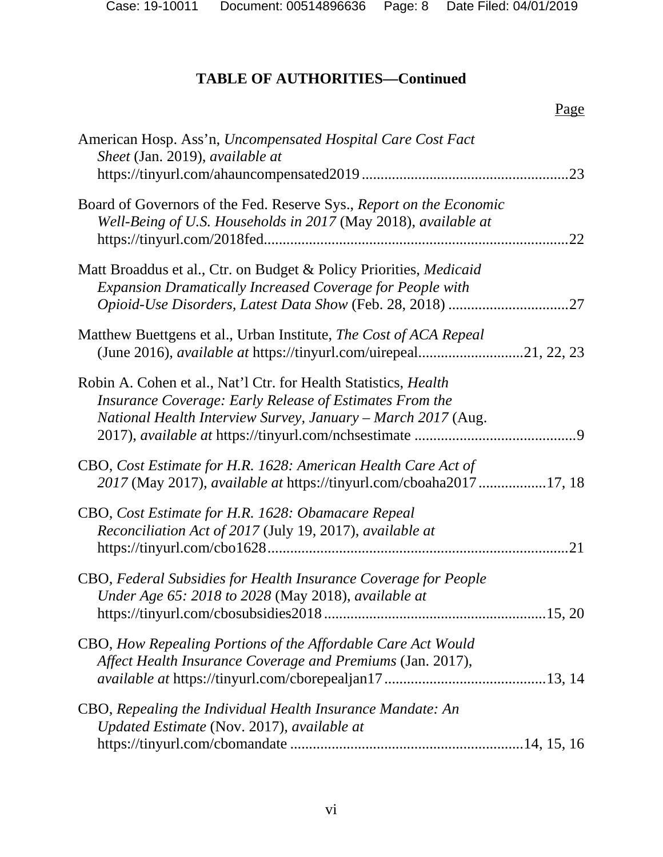# **TABLE OF AUTHORITIES—Continued**

| American Hosp. Ass'n, Uncompensated Hospital Care Cost Fact<br>Sheet (Jan. 2019), available at                                                                                                    | .23 |
|---------------------------------------------------------------------------------------------------------------------------------------------------------------------------------------------------|-----|
| Board of Governors of the Fed. Reserve Sys., Report on the Economic<br>Well-Being of U.S. Households in 2017 (May 2018), available at                                                             | .22 |
| Matt Broaddus et al., Ctr. on Budget & Policy Priorities, Medicaid<br><b>Expansion Dramatically Increased Coverage for People with</b>                                                            |     |
| Matthew Buettgens et al., Urban Institute, The Cost of ACA Repeal<br>(June 2016), <i>available at</i> https://tinyurl.com/uirepeal21, 22, 23                                                      |     |
| Robin A. Cohen et al., Nat'l Ctr. for Health Statistics, <i>Health</i><br>Insurance Coverage: Early Release of Estimates From the<br>National Health Interview Survey, January - March 2017 (Aug. |     |
| CBO, Cost Estimate for H.R. 1628: American Health Care Act of<br>2017 (May 2017), <i>available at https://tinyurl.com/cboaha201717</i> , 18                                                       |     |
| CBO, Cost Estimate for H.R. 1628: Obamacare Repeal<br>Reconciliation Act of 2017 (July 19, 2017), available at                                                                                    |     |
| CBO, Federal Subsidies for Health Insurance Coverage for People<br>Under Age 65: 2018 to 2028 (May 2018), available at<br>15, 20                                                                  |     |
| CBO, How Repealing Portions of the Affordable Care Act Would<br>Affect Health Insurance Coverage and Premiums (Jan. 2017),                                                                        |     |
| CBO, Repealing the Individual Health Insurance Mandate: An<br>Updated Estimate (Nov. 2017), available at                                                                                          |     |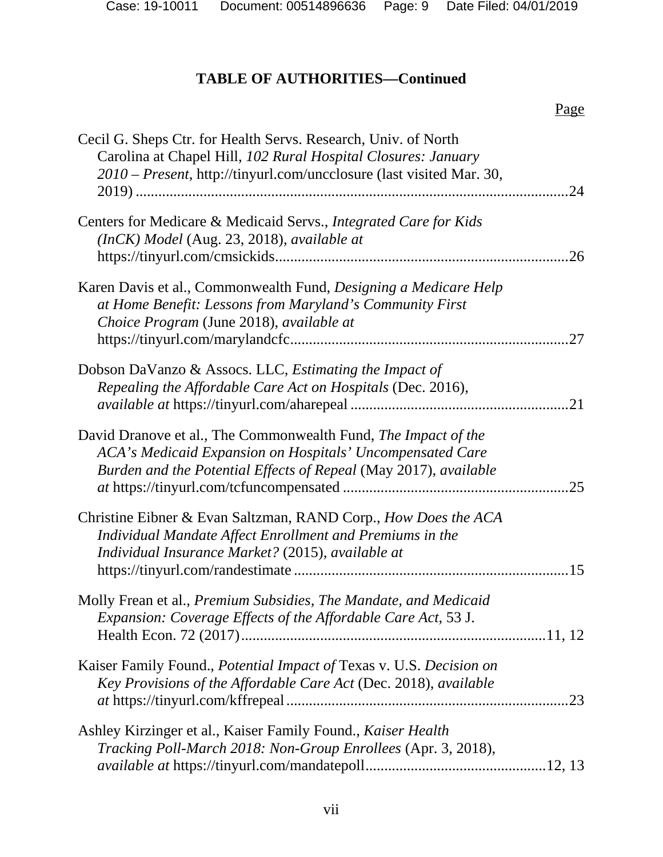Page

# **TABLE OF AUTHORITIES—Continued**

| Cecil G. Sheps Ctr. for Health Servs. Research, Univ. of North<br>Carolina at Chapel Hill, 102 Rural Hospital Closures: January<br>2010 – Present, http://tinyurl.com/uncclosure (last visited Mar. 30, | 24  |
|---------------------------------------------------------------------------------------------------------------------------------------------------------------------------------------------------------|-----|
| Centers for Medicare & Medicaid Servs., Integrated Care for Kids<br>(InCK) Model (Aug. 23, 2018), available at                                                                                          | .26 |
| Karen Davis et al., Commonwealth Fund, Designing a Medicare Help<br>at Home Benefit: Lessons from Maryland's Community First<br>Choice Program (June 2018), available at                                | .27 |
| Dobson DaVanzo & Assocs. LLC, <i>Estimating the Impact of</i><br>Repealing the Affordable Care Act on Hospitals (Dec. 2016),                                                                            | .21 |
| David Dranove et al., The Commonwealth Fund, The Impact of the<br>ACA's Medicaid Expansion on Hospitals' Uncompensated Care<br>Burden and the Potential Effects of Repeal (May 2017), available         | .25 |
| Christine Eibner & Evan Saltzman, RAND Corp., How Does the ACA<br>Individual Mandate Affect Enrollment and Premiums in the<br>Individual Insurance Market? (2015), available at                         |     |
| Molly Frean et al., Premium Subsidies, The Mandate, and Medicaid<br>Expansion: Coverage Effects of the Affordable Care Act, 53 J.                                                                       |     |
| Kaiser Family Found., Potential Impact of Texas v. U.S. Decision on<br>Key Provisions of the Affordable Care Act (Dec. 2018), available                                                                 |     |
| Ashley Kirzinger et al., Kaiser Family Found., Kaiser Health<br>Tracking Poll-March 2018: Non-Group Enrollees (Apr. 3, 2018),                                                                           |     |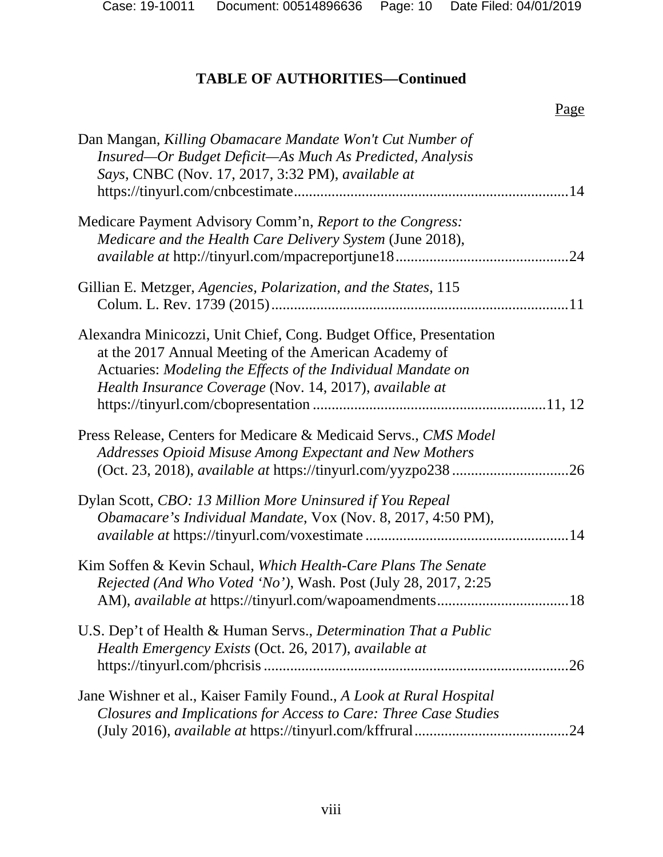# **TABLE OF AUTHORITIES—Continued**

|                                                                                                                                                                                                                                                        | Page |
|--------------------------------------------------------------------------------------------------------------------------------------------------------------------------------------------------------------------------------------------------------|------|
| Dan Mangan, Killing Obamacare Mandate Won't Cut Number of<br>Insured—Or Budget Deficit—As Much As Predicted, Analysis<br>Says, CNBC (Nov. 17, 2017, 3:32 PM), available at                                                                             |      |
| Medicare Payment Advisory Comm'n, Report to the Congress:<br>Medicare and the Health Care Delivery System (June 2018),                                                                                                                                 | .24  |
| Gillian E. Metzger, Agencies, Polarization, and the States, 115                                                                                                                                                                                        |      |
| Alexandra Minicozzi, Unit Chief, Cong. Budget Office, Presentation<br>at the 2017 Annual Meeting of the American Academy of<br>Actuaries: Modeling the Effects of the Individual Mandate on<br>Health Insurance Coverage (Nov. 14, 2017), available at |      |
| Press Release, Centers for Medicare & Medicaid Servs., CMS Model<br>Addresses Opioid Misuse Among Expectant and New Mothers                                                                                                                            | .26  |
| Dylan Scott, CBO: 13 Million More Uninsured if You Repeal<br>Obamacare's Individual Mandate, Vox (Nov. 8, 2017, 4:50 PM),                                                                                                                              |      |
| Kim Soffen & Kevin Schaul, Which Health-Care Plans The Senate<br>Rejected (And Who Voted 'No'), Wash. Post (July 28, 2017, 2:25                                                                                                                        |      |
| U.S. Dep't of Health & Human Servs., Determination That a Public<br>Health Emergency Exists (Oct. 26, 2017), available at                                                                                                                              | .26  |
| Jane Wishner et al., Kaiser Family Found., A Look at Rural Hospital<br>Closures and Implications for Access to Care: Three Case Studies                                                                                                                | .24  |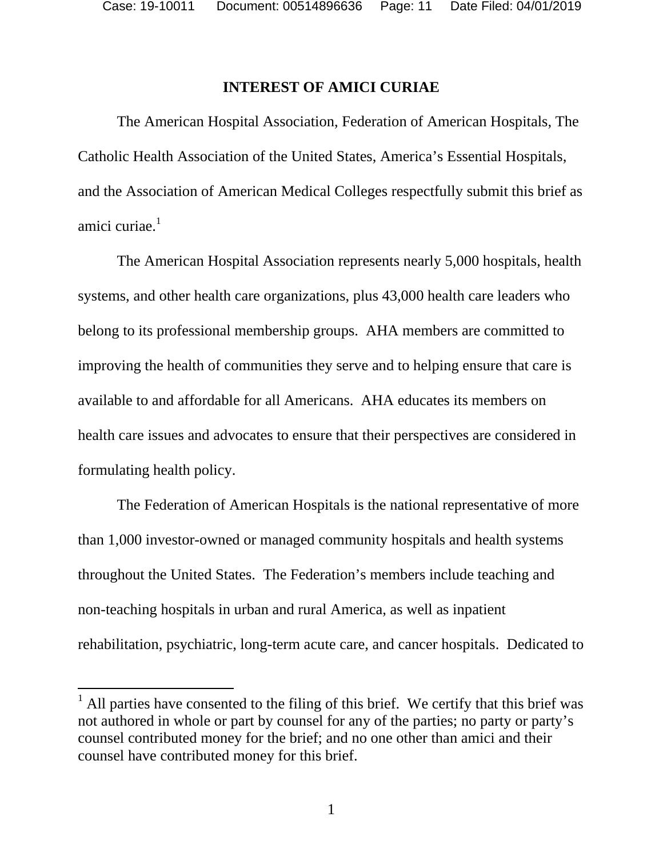### **INTEREST OF AMICI CURIAE**

The American Hospital Association, Federation of American Hospitals, The Catholic Health Association of the United States, America's Essential Hospitals, and the Association of American Medical Colleges respectfully submit this brief as amici curiae. $<sup>1</sup>$ </sup>

The American Hospital Association represents nearly 5,000 hospitals, health systems, and other health care organizations, plus 43,000 health care leaders who belong to its professional membership groups. AHA members are committed to improving the health of communities they serve and to helping ensure that care is available to and affordable for all Americans. AHA educates its members on health care issues and advocates to ensure that their perspectives are considered in formulating health policy.

The Federation of American Hospitals is the national representative of more than 1,000 investor-owned or managed community hospitals and health systems throughout the United States. The Federation's members include teaching and non-teaching hospitals in urban and rural America, as well as inpatient rehabilitation, psychiatric, long-term acute care, and cancer hospitals. Dedicated to

 $<sup>1</sup>$  All parties have consented to the filing of this brief. We certify that this brief was</sup> not authored in whole or part by counsel for any of the parties; no party or party's counsel contributed money for the brief; and no one other than amici and their counsel have contributed money for this brief.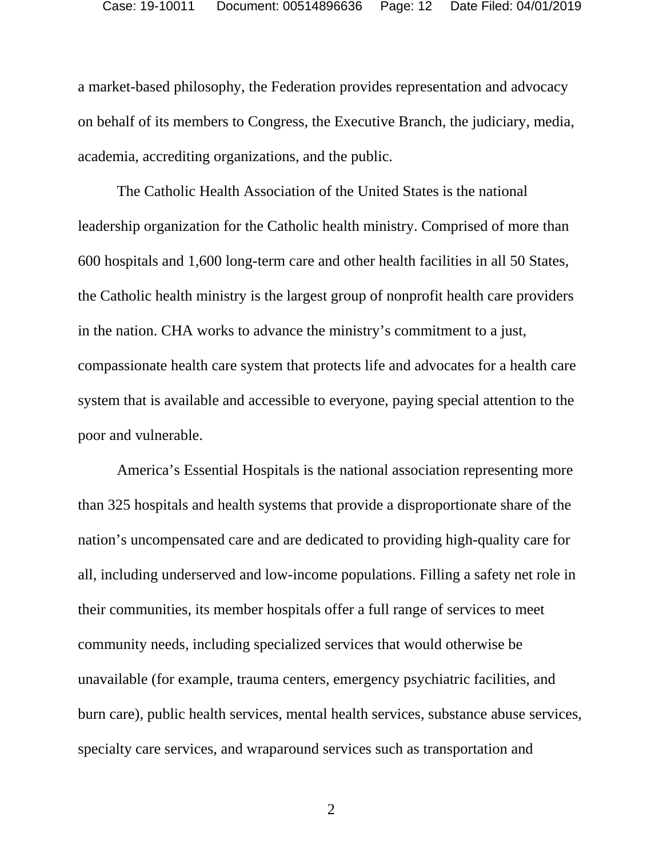a market-based philosophy, the Federation provides representation and advocacy on behalf of its members to Congress, the Executive Branch, the judiciary, media, academia, accrediting organizations, and the public.

The Catholic Health Association of the United States is the national leadership organization for the Catholic health ministry. Comprised of more than 600 hospitals and 1,600 long-term care and other health facilities in all 50 States, the Catholic health ministry is the largest group of nonprofit health care providers in the nation. CHA works to advance the ministry's commitment to a just, compassionate health care system that protects life and advocates for a health care system that is available and accessible to everyone, paying special attention to the poor and vulnerable.

America's Essential Hospitals is the national association representing more than 325 hospitals and health systems that provide a disproportionate share of the nation's uncompensated care and are dedicated to providing high-quality care for all, including underserved and low-income populations. Filling a safety net role in their communities, its member hospitals offer a full range of services to meet community needs, including specialized services that would otherwise be unavailable (for example, trauma centers, emergency psychiatric facilities, and burn care), public health services, mental health services, substance abuse services, specialty care services, and wraparound services such as transportation and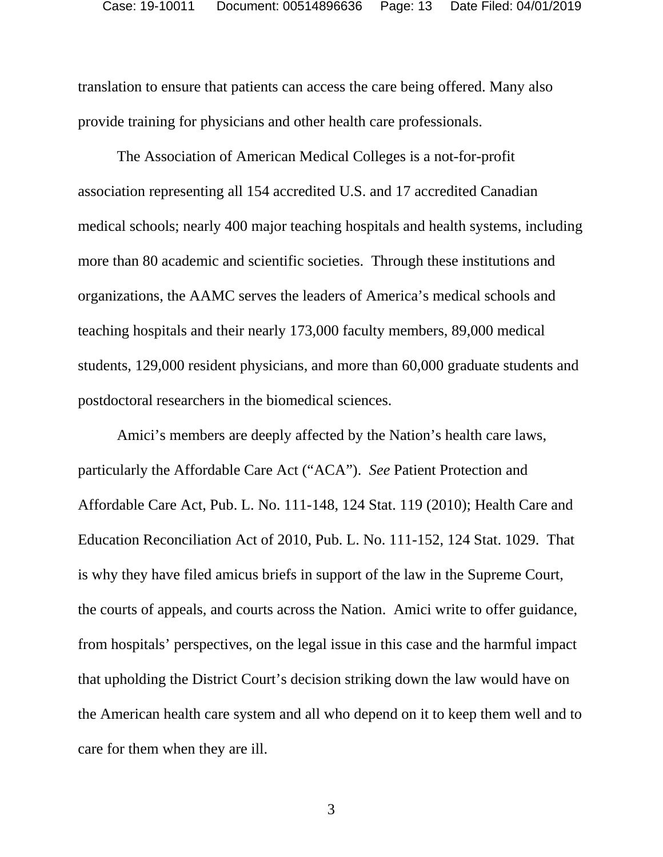translation to ensure that patients can access the care being offered. Many also provide training for physicians and other health care professionals.

The Association of American Medical Colleges is a not-for-profit association representing all 154 accredited U.S. and 17 accredited Canadian medical schools; nearly 400 major teaching hospitals and health systems, including more than 80 academic and scientific societies. Through these institutions and organizations, the AAMC serves the leaders of America's medical schools and teaching hospitals and their nearly 173,000 faculty members, 89,000 medical students, 129,000 resident physicians, and more than 60,000 graduate students and postdoctoral researchers in the biomedical sciences.

Amici's members are deeply affected by the Nation's health care laws, particularly the Affordable Care Act ("ACA"). *See* Patient Protection and Affordable Care Act, Pub. L. No. 111-148, 124 Stat. 119 (2010); Health Care and Education Reconciliation Act of 2010, Pub. L. No. 111-152, 124 Stat. 1029. That is why they have filed amicus briefs in support of the law in the Supreme Court, the courts of appeals, and courts across the Nation. Amici write to offer guidance, from hospitals' perspectives, on the legal issue in this case and the harmful impact that upholding the District Court's decision striking down the law would have on the American health care system and all who depend on it to keep them well and to care for them when they are ill.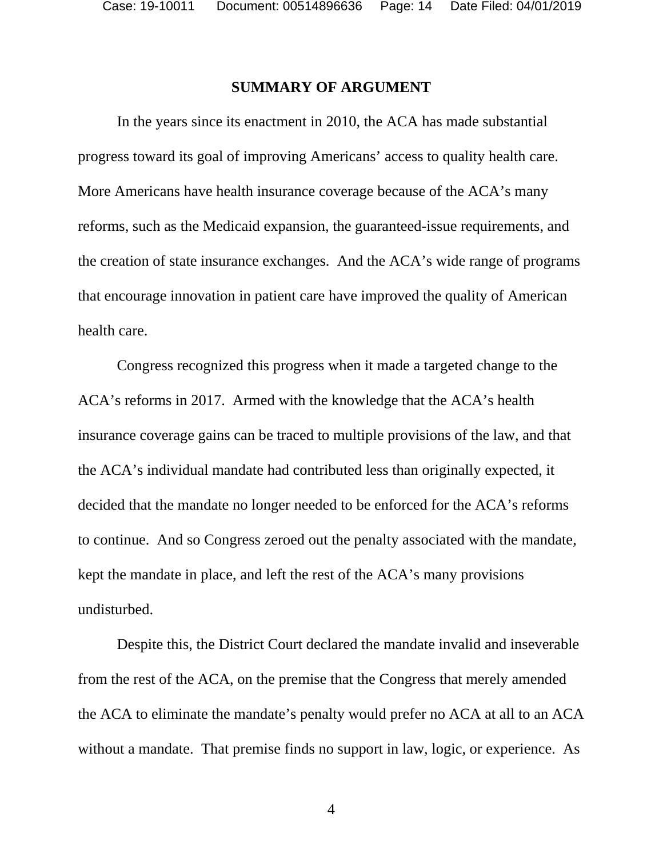### **SUMMARY OF ARGUMENT**

In the years since its enactment in 2010, the ACA has made substantial progress toward its goal of improving Americans' access to quality health care. More Americans have health insurance coverage because of the ACA's many reforms, such as the Medicaid expansion, the guaranteed-issue requirements, and the creation of state insurance exchanges. And the ACA's wide range of programs that encourage innovation in patient care have improved the quality of American health care.

Congress recognized this progress when it made a targeted change to the ACA's reforms in 2017. Armed with the knowledge that the ACA's health insurance coverage gains can be traced to multiple provisions of the law, and that the ACA's individual mandate had contributed less than originally expected, it decided that the mandate no longer needed to be enforced for the ACA's reforms to continue. And so Congress zeroed out the penalty associated with the mandate, kept the mandate in place, and left the rest of the ACA's many provisions undisturbed.

Despite this, the District Court declared the mandate invalid and inseverable from the rest of the ACA, on the premise that the Congress that merely amended the ACA to eliminate the mandate's penalty would prefer no ACA at all to an ACA without a mandate. That premise finds no support in law, logic, or experience. As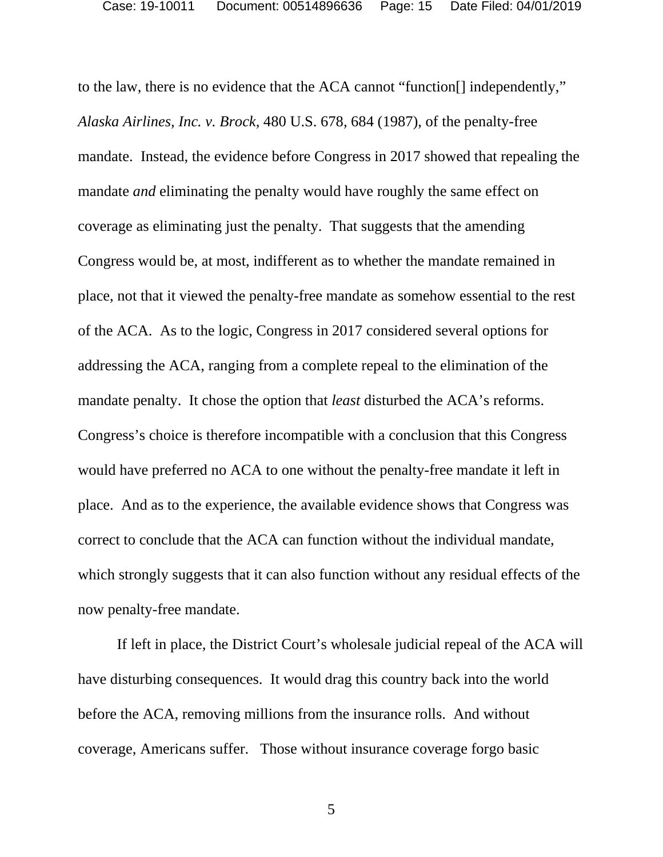to the law, there is no evidence that the ACA cannot "function[] independently," *Alaska Airlines, Inc. v. Brock*, 480 U.S. 678, 684 (1987), of the penalty-free mandate. Instead, the evidence before Congress in 2017 showed that repealing the mandate *and* eliminating the penalty would have roughly the same effect on coverage as eliminating just the penalty. That suggests that the amending Congress would be, at most, indifferent as to whether the mandate remained in place, not that it viewed the penalty-free mandate as somehow essential to the rest of the ACA. As to the logic, Congress in 2017 considered several options for addressing the ACA, ranging from a complete repeal to the elimination of the mandate penalty. It chose the option that *least* disturbed the ACA's reforms. Congress's choice is therefore incompatible with a conclusion that this Congress would have preferred no ACA to one without the penalty-free mandate it left in place. And as to the experience, the available evidence shows that Congress was correct to conclude that the ACA can function without the individual mandate, which strongly suggests that it can also function without any residual effects of the now penalty-free mandate.

If left in place, the District Court's wholesale judicial repeal of the ACA will have disturbing consequences. It would drag this country back into the world before the ACA, removing millions from the insurance rolls. And without coverage, Americans suffer. Those without insurance coverage forgo basic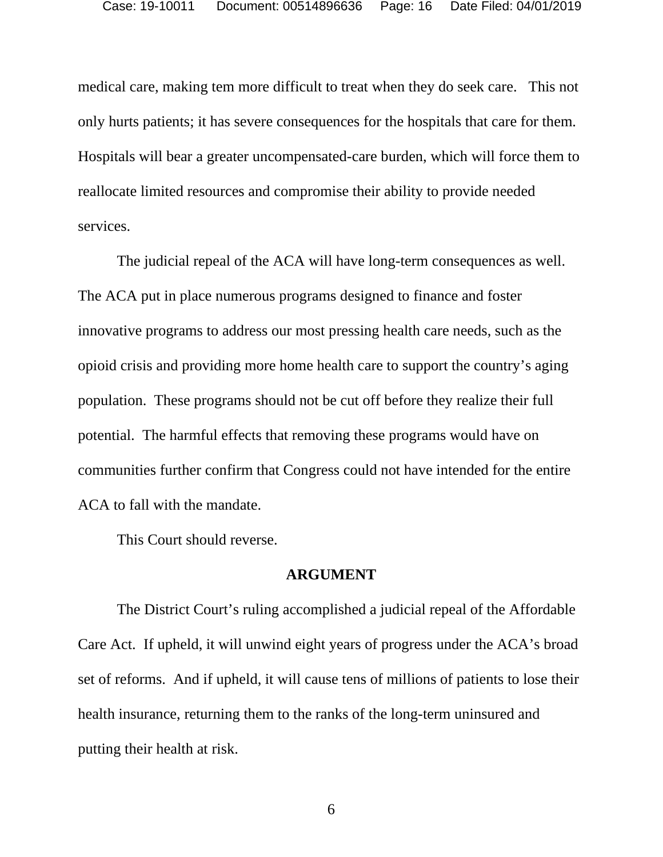medical care, making tem more difficult to treat when they do seek care. This not only hurts patients; it has severe consequences for the hospitals that care for them. Hospitals will bear a greater uncompensated-care burden, which will force them to reallocate limited resources and compromise their ability to provide needed services.

The judicial repeal of the ACA will have long-term consequences as well. The ACA put in place numerous programs designed to finance and foster innovative programs to address our most pressing health care needs, such as the opioid crisis and providing more home health care to support the country's aging population. These programs should not be cut off before they realize their full potential. The harmful effects that removing these programs would have on communities further confirm that Congress could not have intended for the entire ACA to fall with the mandate.

This Court should reverse.

#### **ARGUMENT**

The District Court's ruling accomplished a judicial repeal of the Affordable Care Act. If upheld, it will unwind eight years of progress under the ACA's broad set of reforms. And if upheld, it will cause tens of millions of patients to lose their health insurance, returning them to the ranks of the long-term uninsured and putting their health at risk.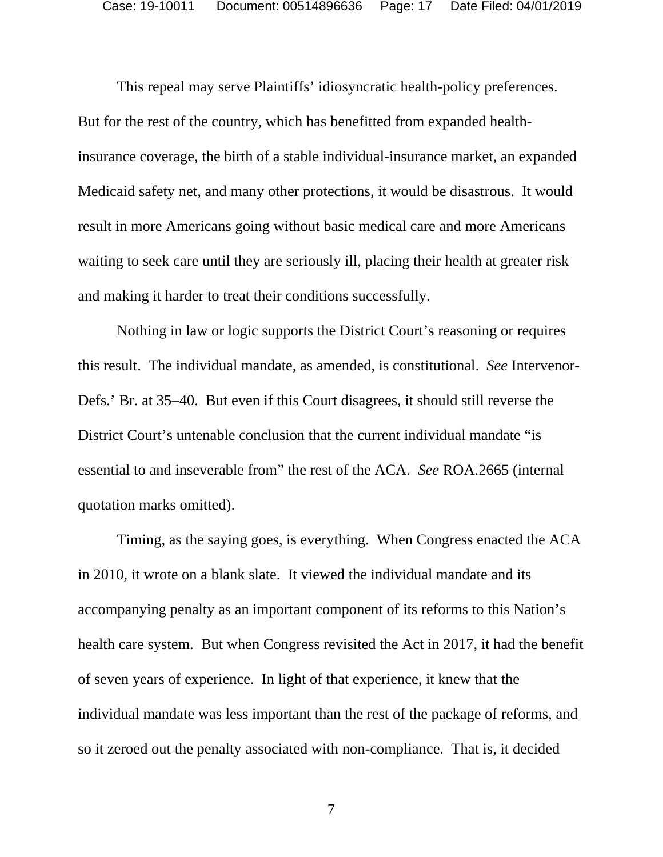This repeal may serve Plaintiffs' idiosyncratic health-policy preferences. But for the rest of the country, which has benefitted from expanded healthinsurance coverage, the birth of a stable individual-insurance market, an expanded Medicaid safety net, and many other protections, it would be disastrous. It would result in more Americans going without basic medical care and more Americans waiting to seek care until they are seriously ill, placing their health at greater risk and making it harder to treat their conditions successfully.

Nothing in law or logic supports the District Court's reasoning or requires this result. The individual mandate, as amended, is constitutional. *See* Intervenor-Defs.' Br. at 35–40. But even if this Court disagrees, it should still reverse the District Court's untenable conclusion that the current individual mandate "is essential to and inseverable from" the rest of the ACA. *See* ROA.2665 (internal quotation marks omitted).

Timing, as the saying goes, is everything. When Congress enacted the ACA in 2010, it wrote on a blank slate. It viewed the individual mandate and its accompanying penalty as an important component of its reforms to this Nation's health care system. But when Congress revisited the Act in 2017, it had the benefit of seven years of experience. In light of that experience, it knew that the individual mandate was less important than the rest of the package of reforms, and so it zeroed out the penalty associated with non-compliance. That is, it decided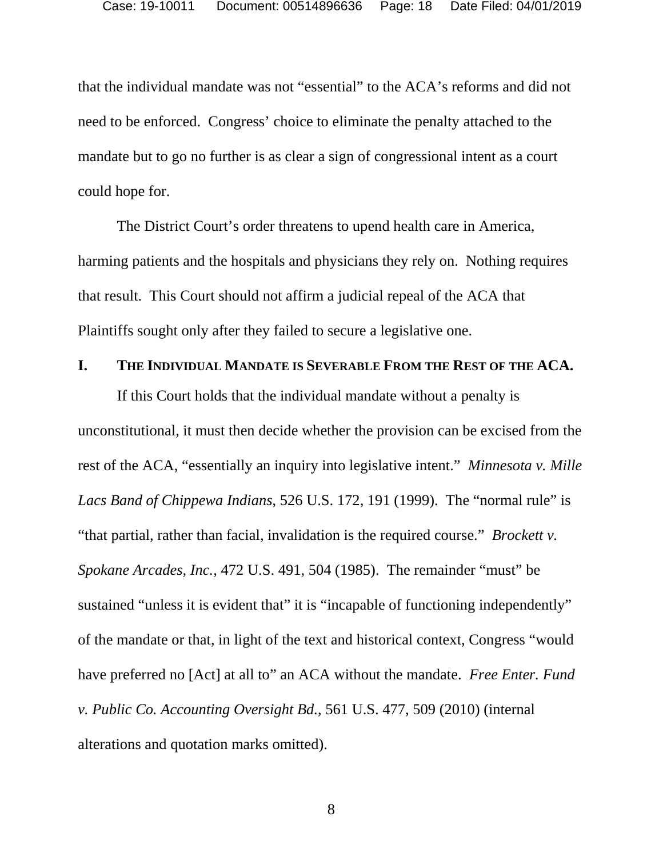that the individual mandate was not "essential" to the ACA's reforms and did not need to be enforced. Congress' choice to eliminate the penalty attached to the mandate but to go no further is as clear a sign of congressional intent as a court could hope for.

The District Court's order threatens to upend health care in America, harming patients and the hospitals and physicians they rely on. Nothing requires that result. This Court should not affirm a judicial repeal of the ACA that Plaintiffs sought only after they failed to secure a legislative one.

### **I. THE INDIVIDUAL MANDATE IS SEVERABLE FROM THE REST OF THE ACA.**

If this Court holds that the individual mandate without a penalty is unconstitutional, it must then decide whether the provision can be excised from the rest of the ACA, "essentially an inquiry into legislative intent." *Minnesota v. Mille Lacs Band of Chippewa Indians*, 526 U.S. 172, 191 (1999). The "normal rule" is "that partial, rather than facial, invalidation is the required course." *Brockett v. Spokane Arcades, Inc.*, 472 U.S. 491, 504 (1985). The remainder "must" be sustained "unless it is evident that" it is "incapable of functioning independently" of the mandate or that, in light of the text and historical context, Congress "would have preferred no [Act] at all to" an ACA without the mandate. *Free Enter. Fund v. Public Co. Accounting Oversight Bd.*, 561 U.S. 477, 509 (2010) (internal alterations and quotation marks omitted).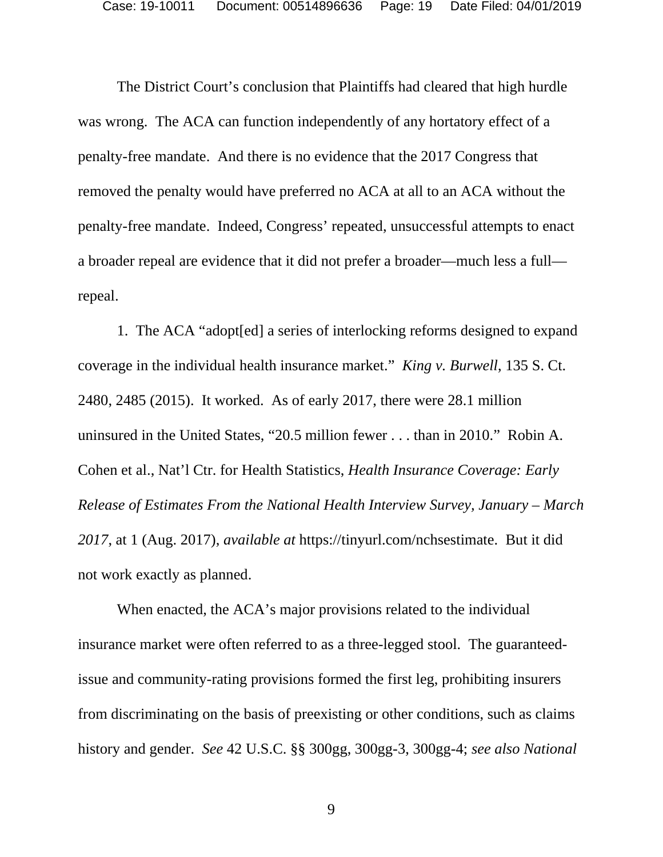The District Court's conclusion that Plaintiffs had cleared that high hurdle was wrong. The ACA can function independently of any hortatory effect of a penalty-free mandate. And there is no evidence that the 2017 Congress that removed the penalty would have preferred no ACA at all to an ACA without the penalty-free mandate. Indeed, Congress' repeated, unsuccessful attempts to enact a broader repeal are evidence that it did not prefer a broader—much less a full repeal.

1. The ACA "adopt[ed] a series of interlocking reforms designed to expand coverage in the individual health insurance market." *King v. Burwell*, 135 S. Ct. 2480, 2485 (2015). It worked. As of early 2017, there were 28.1 million uninsured in the United States, "20.5 million fewer . . . than in 2010." Robin A. Cohen et al., Nat'l Ctr. for Health Statistics, *Health Insurance Coverage: Early Release of Estimates From the National Health Interview Survey, January – March 2017*, at 1 (Aug. 2017), *available at* https://tinyurl.com/nchsestimate. But it did not work exactly as planned.

When enacted, the ACA's major provisions related to the individual insurance market were often referred to as a three-legged stool. The guaranteedissue and community-rating provisions formed the first leg, prohibiting insurers from discriminating on the basis of preexisting or other conditions, such as claims history and gender. *See* 42 U.S.C. §§ 300gg, 300gg-3, 300gg-4; *see also National*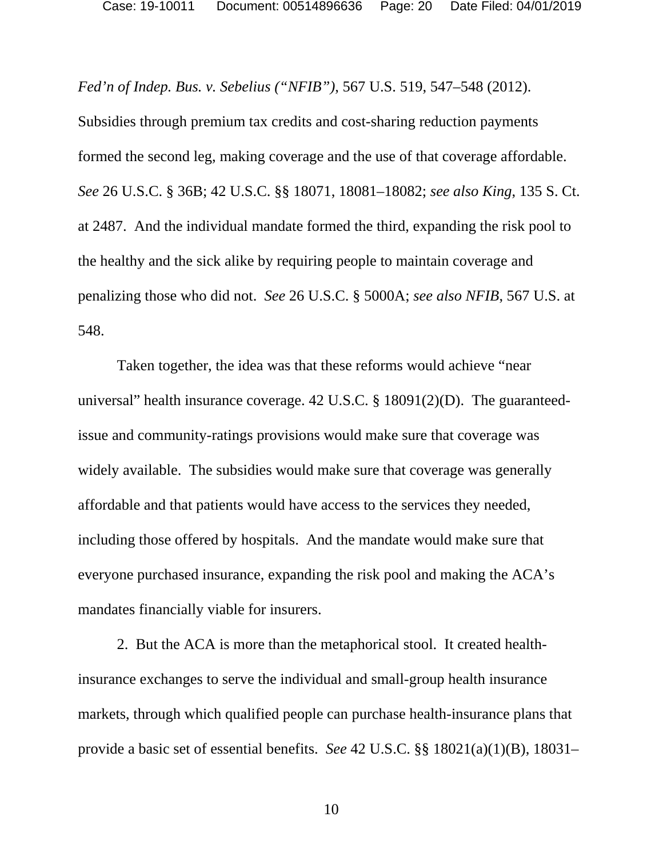Case: 19-10011 Document: 00514896636 Page: 20 Date Filed: 04/01/2019

*Fed'n of Indep. Bus. v. Sebelius ("NFIB")*, 567 U.S. 519, 547–548 (2012).

Subsidies through premium tax credits and cost-sharing reduction payments formed the second leg, making coverage and the use of that coverage affordable. *See* 26 U.S.C. § 36B; 42 U.S.C. §§ 18071, 18081–18082; *see also King*, 135 S. Ct. at 2487. And the individual mandate formed the third, expanding the risk pool to the healthy and the sick alike by requiring people to maintain coverage and penalizing those who did not. *See* 26 U.S.C. § 5000A; *see also NFIB*, 567 U.S. at 548.

Taken together, the idea was that these reforms would achieve "near universal" health insurance coverage. 42 U.S.C. § 18091(2)(D). The guaranteedissue and community-ratings provisions would make sure that coverage was widely available. The subsidies would make sure that coverage was generally affordable and that patients would have access to the services they needed, including those offered by hospitals. And the mandate would make sure that everyone purchased insurance, expanding the risk pool and making the ACA's mandates financially viable for insurers.

2. But the ACA is more than the metaphorical stool. It created healthinsurance exchanges to serve the individual and small-group health insurance markets, through which qualified people can purchase health-insurance plans that provide a basic set of essential benefits. *See* 42 U.S.C. §§ 18021(a)(1)(B), 18031–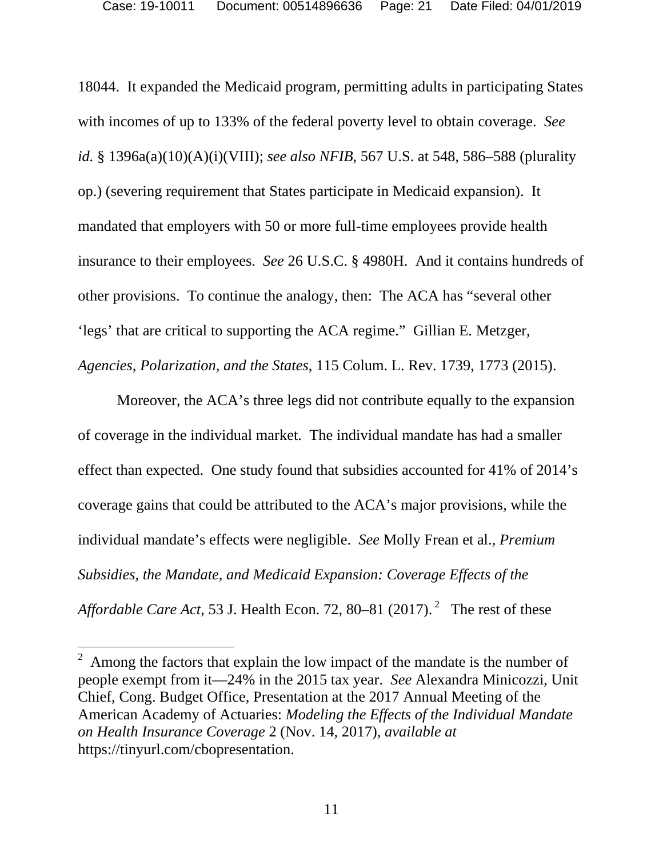18044. It expanded the Medicaid program, permitting adults in participating States with incomes of up to 133% of the federal poverty level to obtain coverage. *See id.* § 1396a(a)(10)(A)(i)(VIII); *see also NFIB*, 567 U.S. at 548, 586–588 (plurality op.) (severing requirement that States participate in Medicaid expansion). It mandated that employers with 50 or more full-time employees provide health insurance to their employees. *See* 26 U.S.C. § 4980H. And it contains hundreds of other provisions. To continue the analogy, then: The ACA has "several other 'legs' that are critical to supporting the ACA regime." Gillian E. Metzger, *Agencies, Polarization, and the States*, 115 Colum. L. Rev. 1739, 1773 (2015).

Moreover, the ACA's three legs did not contribute equally to the expansion of coverage in the individual market. The individual mandate has had a smaller effect than expected. One study found that subsidies accounted for 41% of 2014's coverage gains that could be attributed to the ACA's major provisions, while the individual mandate's effects were negligible. *See* Molly Frean et al., *Premium Subsidies, the Mandate, and Medicaid Expansion: Coverage Effects of the Affordable Care Act*, 53 J. Health Econ. 72, 80–81 (2017).<sup>2</sup> The rest of these

<sup>2</sup> Among the factors that explain the low impact of the mandate is the number of people exempt from it—24% in the 2015 tax year. *See* Alexandra Minicozzi, Unit Chief, Cong. Budget Office, Presentation at the 2017 Annual Meeting of the American Academy of Actuaries: *Modeling the Effects of the Individual Mandate on Health Insurance Coverage* 2 (Nov. 14, 2017), *available at* https://tinyurl.com/cbopresentation.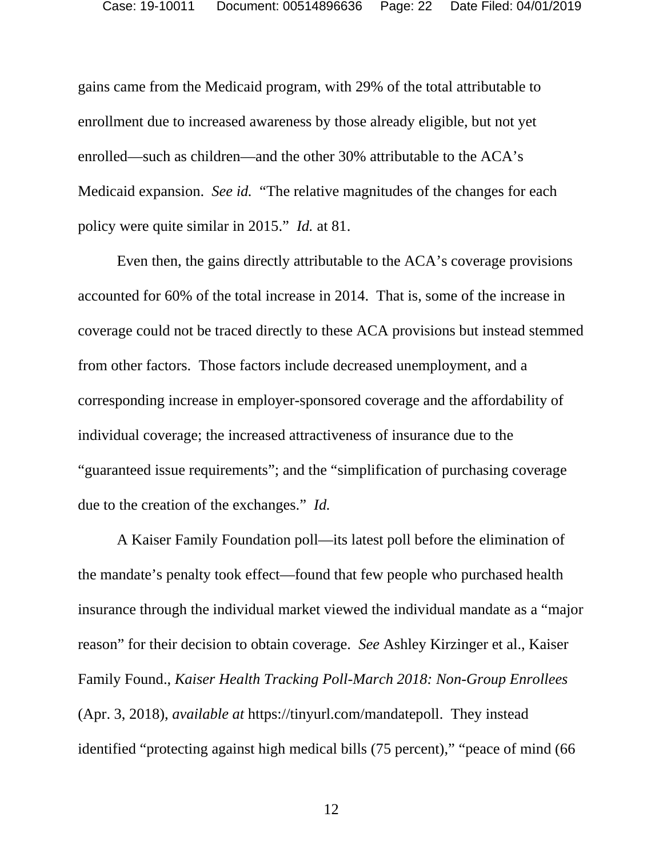gains came from the Medicaid program, with 29% of the total attributable to enrollment due to increased awareness by those already eligible, but not yet enrolled—such as children—and the other 30% attributable to the ACA's Medicaid expansion. *See id.* "The relative magnitudes of the changes for each policy were quite similar in 2015." *Id.* at 81.

Even then, the gains directly attributable to the ACA's coverage provisions accounted for 60% of the total increase in 2014. That is, some of the increase in coverage could not be traced directly to these ACA provisions but instead stemmed from other factors. Those factors include decreased unemployment, and a corresponding increase in employer-sponsored coverage and the affordability of individual coverage; the increased attractiveness of insurance due to the "guaranteed issue requirements"; and the "simplification of purchasing coverage due to the creation of the exchanges." *Id.*

A Kaiser Family Foundation poll—its latest poll before the elimination of the mandate's penalty took effect—found that few people who purchased health insurance through the individual market viewed the individual mandate as a "major reason" for their decision to obtain coverage. *See* Ashley Kirzinger et al., Kaiser Family Found., *Kaiser Health Tracking Poll-March 2018: Non-Group Enrollees*  (Apr. 3, 2018), *available at* https://tinyurl.com/mandatepoll. They instead identified "protecting against high medical bills (75 percent)," "peace of mind (66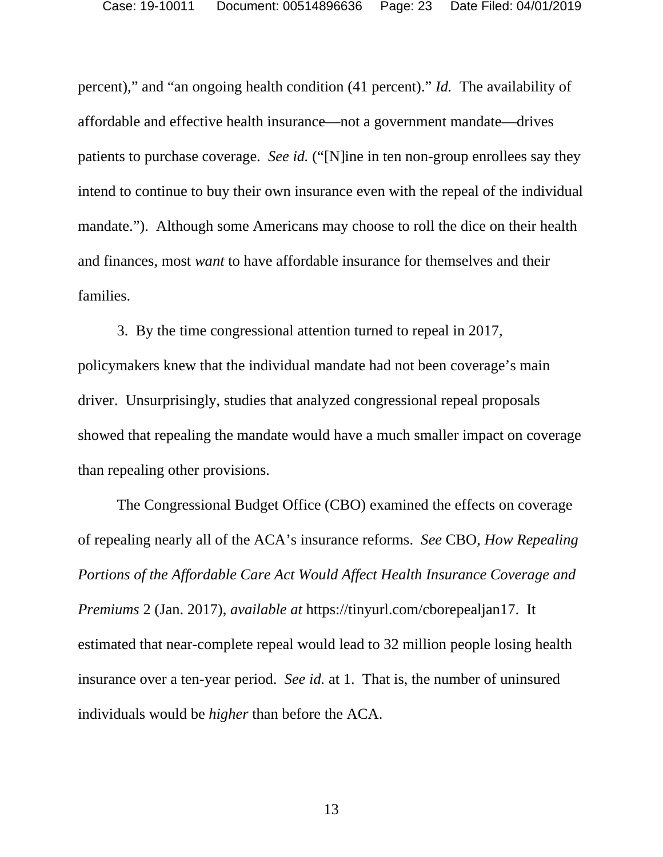percent)," and "an ongoing health condition (41 percent)." *Id.* The availability of affordable and effective health insurance—not a government mandate—drives patients to purchase coverage. *See id.* ("[N]ine in ten non-group enrollees say they intend to continue to buy their own insurance even with the repeal of the individual mandate."). Although some Americans may choose to roll the dice on their health and finances, most *want* to have affordable insurance for themselves and their families.

3. By the time congressional attention turned to repeal in 2017, policymakers knew that the individual mandate had not been coverage's main driver. Unsurprisingly, studies that analyzed congressional repeal proposals showed that repealing the mandate would have a much smaller impact on coverage than repealing other provisions.

The Congressional Budget Office (CBO) examined the effects on coverage of repealing nearly all of the ACA's insurance reforms. *See* CBO, *How Repealing Portions of the Affordable Care Act Would Affect Health Insurance Coverage and Premiums* 2 (Jan. 2017), *available at* https://tinyurl.com/cborepealjan17. It estimated that near-complete repeal would lead to 32 million people losing health insurance over a ten-year period. *See id.* at 1. That is, the number of uninsured individuals would be *higher* than before the ACA.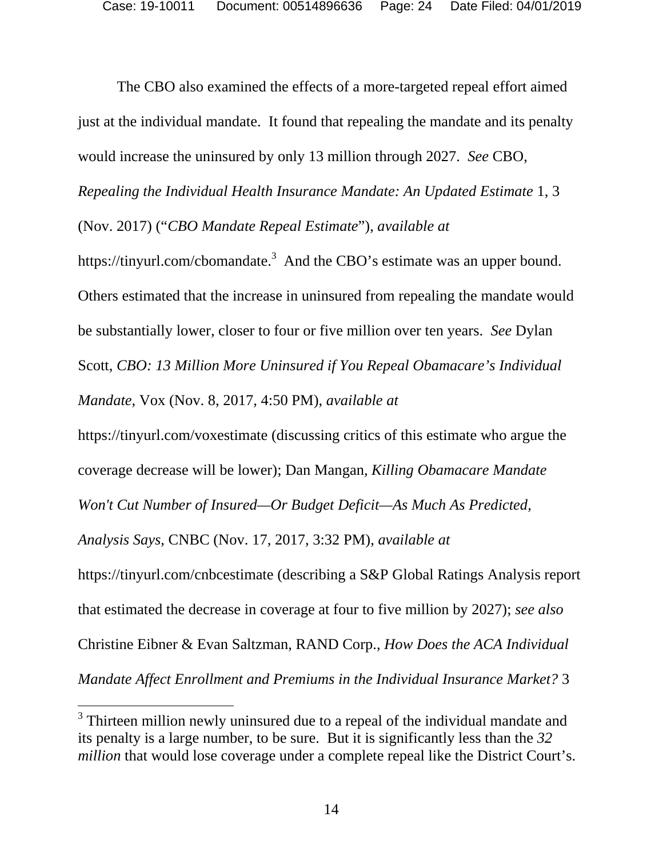The CBO also examined the effects of a more-targeted repeal effort aimed just at the individual mandate. It found that repealing the mandate and its penalty would increase the uninsured by only 13 million through 2027. *See* CBO,

*Repealing the Individual Health Insurance Mandate: An Updated Estimate* 1, 3

(Nov. 2017) ("*CBO Mandate Repeal Estimate*"), *available at*

https://tinyurl.com/cbomandate.<sup>3</sup> And the CBO's estimate was an upper bound. Others estimated that the increase in uninsured from repealing the mandate would be substantially lower, closer to four or five million over ten years. *See* Dylan Scott, *CBO: 13 Million More Uninsured if You Repeal Obamacare's Individual Mandate*, Vox (Nov. 8, 2017, 4:50 PM), *available at* 

https://tinyurl.com/voxestimate (discussing critics of this estimate who argue the coverage decrease will be lower); Dan Mangan*, Killing Obamacare Mandate Won't Cut Number of Insured—Or Budget Deficit—As Much As Predicted, Analysis Says*, CNBC (Nov. 17, 2017, 3:32 PM), *available at*  https://tinyurl.com/cnbcestimate (describing a S&P Global Ratings Analysis report that estimated the decrease in coverage at four to five million by 2027); *see also*  Christine Eibner & Evan Saltzman, RAND Corp., *How Does the ACA Individual Mandate Affect Enrollment and Premiums in the Individual Insurance Market?* 3

<sup>&</sup>lt;sup>3</sup> Thirteen million newly uninsured due to a repeal of the individual mandate and its penalty is a large number, to be sure. But it is significantly less than the *32 million* that would lose coverage under a complete repeal like the District Court's.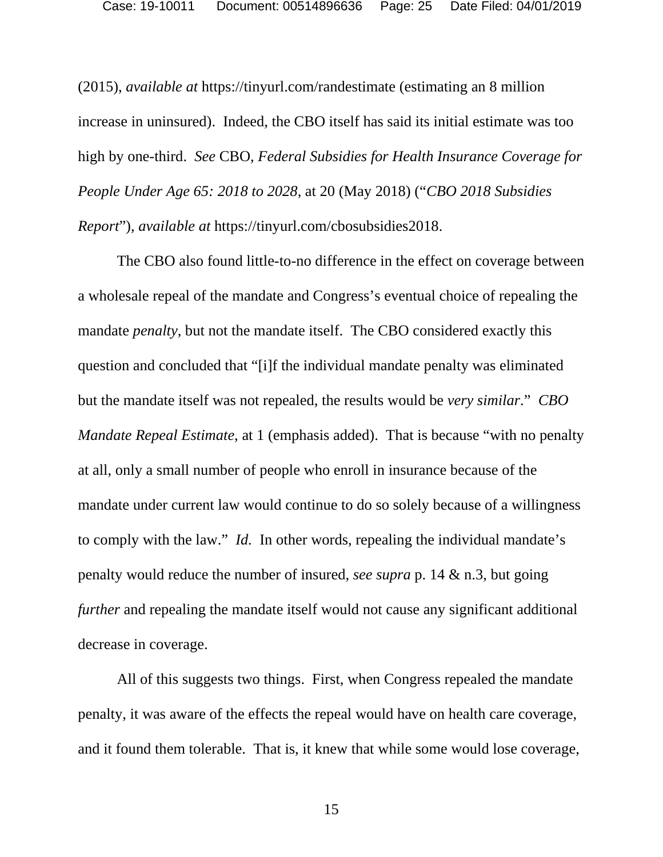(2015), *available at* https://tinyurl.com/randestimate (estimating an 8 million increase in uninsured). Indeed, the CBO itself has said its initial estimate was too high by one-third. *See* CBO, *Federal Subsidies for Health Insurance Coverage for People Under Age 65: 2018 to 2028*, at 20 (May 2018) ("*CBO 2018 Subsidies Report*"), *available at* https://tinyurl.com/cbosubsidies2018.

The CBO also found little-to-no difference in the effect on coverage between a wholesale repeal of the mandate and Congress's eventual choice of repealing the mandate *penalty*, but not the mandate itself. The CBO considered exactly this question and concluded that "[i]f the individual mandate penalty was eliminated but the mandate itself was not repealed, the results would be *very similar*." *CBO Mandate Repeal Estimate*, at 1 (emphasis added). That is because "with no penalty at all, only a small number of people who enroll in insurance because of the mandate under current law would continue to do so solely because of a willingness to comply with the law." *Id.* In other words, repealing the individual mandate's penalty would reduce the number of insured, *see supra* p. 14 & n.3, but going *further* and repealing the mandate itself would not cause any significant additional decrease in coverage.

All of this suggests two things. First, when Congress repealed the mandate penalty, it was aware of the effects the repeal would have on health care coverage, and it found them tolerable. That is, it knew that while some would lose coverage,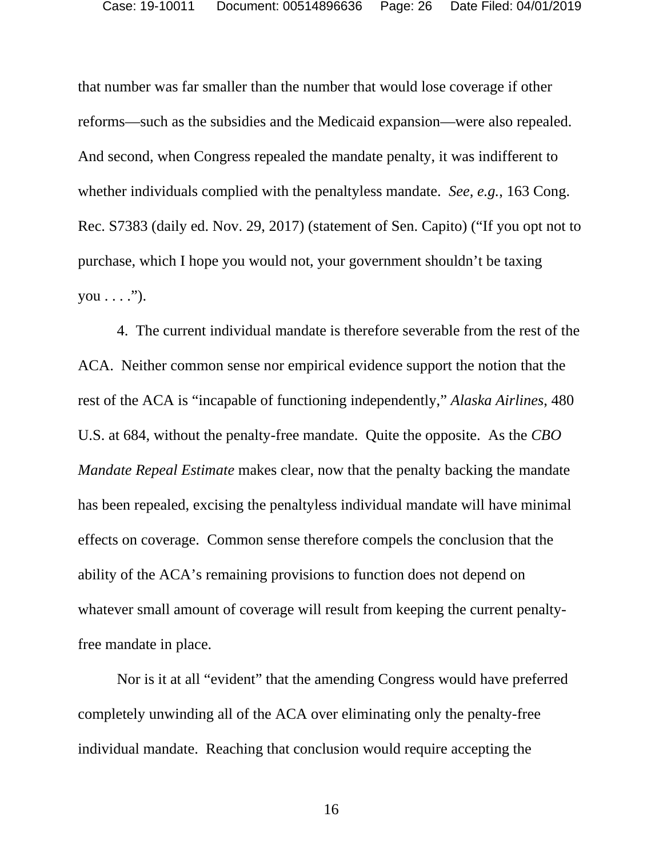that number was far smaller than the number that would lose coverage if other reforms—such as the subsidies and the Medicaid expansion—were also repealed. And second, when Congress repealed the mandate penalty, it was indifferent to whether individuals complied with the penaltyless mandate. *See, e.g.*, 163 Cong. Rec. S7383 (daily ed. Nov. 29, 2017) (statement of Sen. Capito) ("If you opt not to purchase, which I hope you would not, your government shouldn't be taxing  $you \ldots$ ").

4. The current individual mandate is therefore severable from the rest of the ACA. Neither common sense nor empirical evidence support the notion that the rest of the ACA is "incapable of functioning independently," *Alaska Airlines*, 480 U.S. at 684, without the penalty-free mandate. Quite the opposite. As the *CBO Mandate Repeal Estimate* makes clear, now that the penalty backing the mandate has been repealed, excising the penaltyless individual mandate will have minimal effects on coverage. Common sense therefore compels the conclusion that the ability of the ACA's remaining provisions to function does not depend on whatever small amount of coverage will result from keeping the current penaltyfree mandate in place.

Nor is it at all "evident" that the amending Congress would have preferred completely unwinding all of the ACA over eliminating only the penalty-free individual mandate. Reaching that conclusion would require accepting the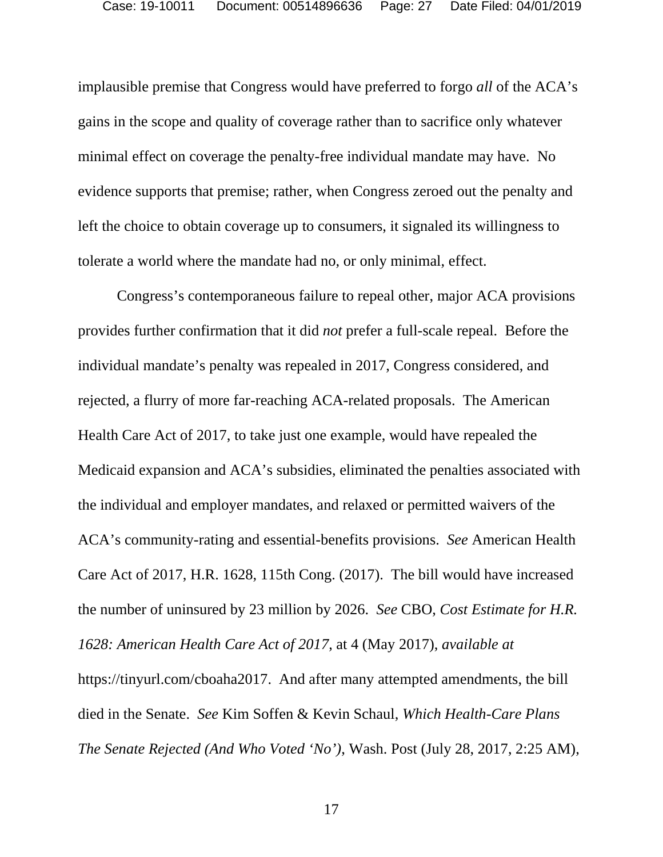implausible premise that Congress would have preferred to forgo *all* of the ACA's gains in the scope and quality of coverage rather than to sacrifice only whatever minimal effect on coverage the penalty-free individual mandate may have. No evidence supports that premise; rather, when Congress zeroed out the penalty and left the choice to obtain coverage up to consumers, it signaled its willingness to tolerate a world where the mandate had no, or only minimal, effect.

Congress's contemporaneous failure to repeal other, major ACA provisions provides further confirmation that it did *not* prefer a full-scale repeal. Before the individual mandate's penalty was repealed in 2017, Congress considered, and rejected, a flurry of more far-reaching ACA-related proposals. The American Health Care Act of 2017, to take just one example, would have repealed the Medicaid expansion and ACA's subsidies, eliminated the penalties associated with the individual and employer mandates, and relaxed or permitted waivers of the ACA's community-rating and essential-benefits provisions. *See* American Health Care Act of 2017, H.R. 1628, 115th Cong. (2017). The bill would have increased the number of uninsured by 23 million by 2026. *See* CBO, *Cost Estimate for H.R. 1628: American Health Care Act of 2017*, at 4 (May 2017), *available at*  https://tinyurl.com/cboaha2017. And after many attempted amendments, the bill died in the Senate. *See* Kim Soffen & Kevin Schaul, *Which Health-Care Plans The Senate Rejected (And Who Voted 'No')*, Wash. Post (July 28, 2017, 2:25 AM),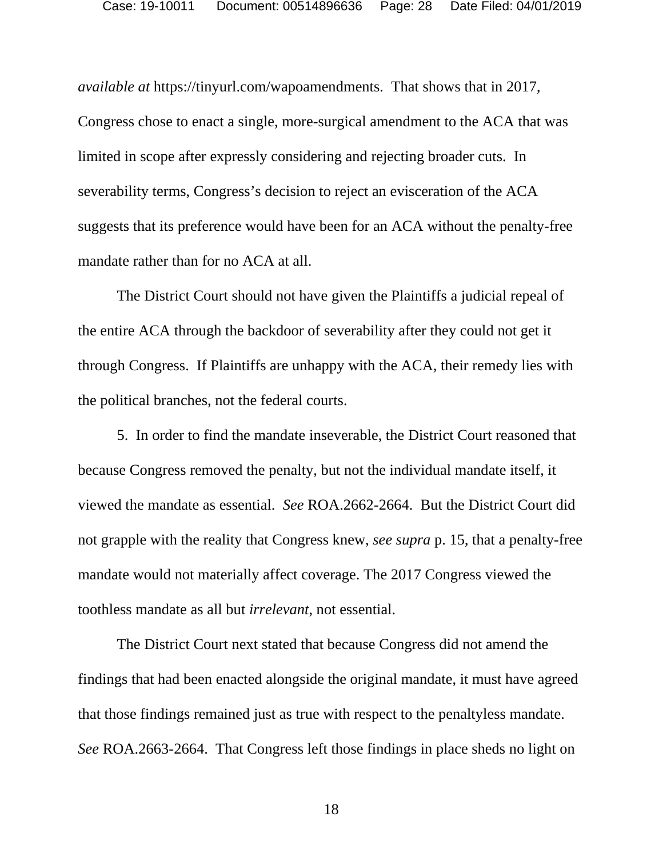*available at* https://tinyurl.com/wapoamendments. That shows that in 2017, Congress chose to enact a single, more-surgical amendment to the ACA that was limited in scope after expressly considering and rejecting broader cuts. In severability terms, Congress's decision to reject an evisceration of the ACA suggests that its preference would have been for an ACA without the penalty-free mandate rather than for no ACA at all.

The District Court should not have given the Plaintiffs a judicial repeal of the entire ACA through the backdoor of severability after they could not get it through Congress. If Plaintiffs are unhappy with the ACA, their remedy lies with the political branches, not the federal courts.

5. In order to find the mandate inseverable, the District Court reasoned that because Congress removed the penalty, but not the individual mandate itself, it viewed the mandate as essential. *See* ROA.2662-2664. But the District Court did not grapple with the reality that Congress knew, *see supra* p. 15, that a penalty-free mandate would not materially affect coverage. The 2017 Congress viewed the toothless mandate as all but *irrelevant*, not essential.

The District Court next stated that because Congress did not amend the findings that had been enacted alongside the original mandate, it must have agreed that those findings remained just as true with respect to the penaltyless mandate. *See* ROA.2663-2664. That Congress left those findings in place sheds no light on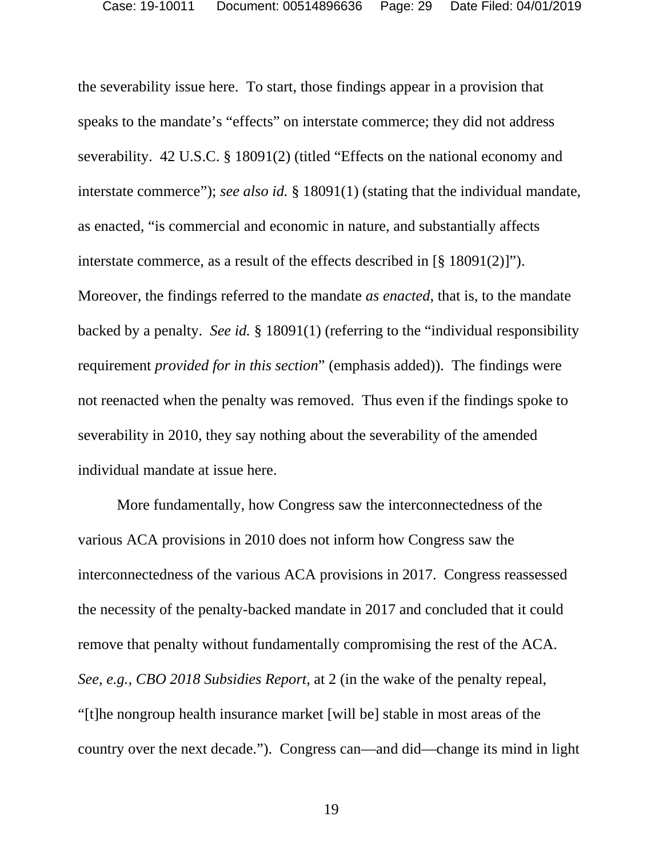the severability issue here. To start, those findings appear in a provision that speaks to the mandate's "effects" on interstate commerce; they did not address severability. 42 U.S.C. § 18091(2) (titled "Effects on the national economy and interstate commerce"); *see also id.* § 18091(1) (stating that the individual mandate, as enacted, "is commercial and economic in nature, and substantially affects interstate commerce, as a result of the effects described in [§ 18091(2)]"). Moreover, the findings referred to the mandate *as enacted*, that is, to the mandate backed by a penalty. *See id.* § 18091(1) (referring to the "individual responsibility requirement *provided for in this section*" (emphasis added)). The findings were not reenacted when the penalty was removed. Thus even if the findings spoke to severability in 2010, they say nothing about the severability of the amended individual mandate at issue here.

More fundamentally, how Congress saw the interconnectedness of the various ACA provisions in 2010 does not inform how Congress saw the interconnectedness of the various ACA provisions in 2017. Congress reassessed the necessity of the penalty-backed mandate in 2017 and concluded that it could remove that penalty without fundamentally compromising the rest of the ACA. *See, e.g.*, *CBO 2018 Subsidies Report*, at 2 (in the wake of the penalty repeal, "[t]he nongroup health insurance market [will be] stable in most areas of the country over the next decade."). Congress can—and did—change its mind in light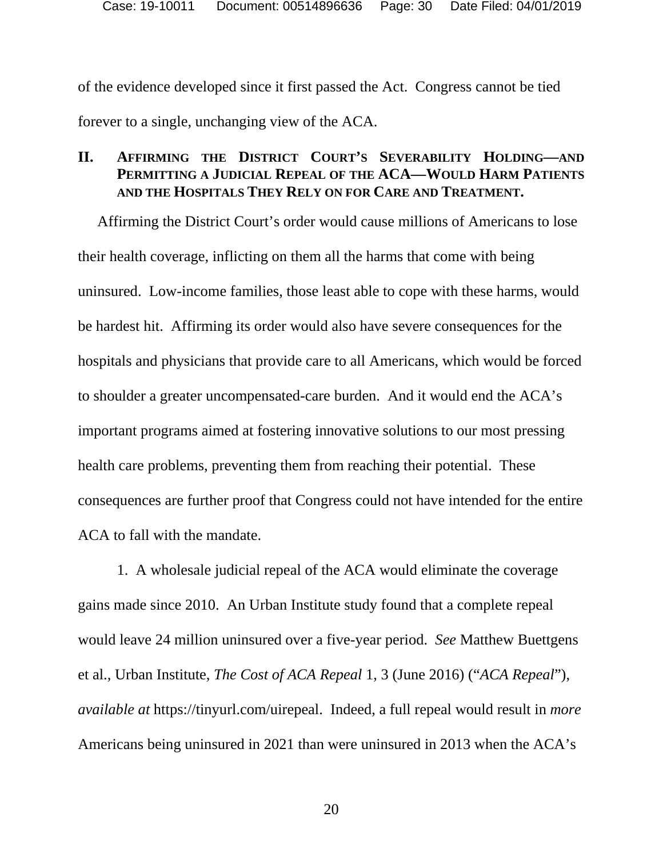of the evidence developed since it first passed the Act. Congress cannot be tied forever to a single, unchanging view of the ACA.

### **II. AFFIRMING THE DISTRICT COURT'S SEVERABILITY HOLDING—AND PERMITTING A JUDICIAL REPEAL OF THE ACA—WOULD HARM PATIENTS AND THE HOSPITALS THEY RELY ON FOR CARE AND TREATMENT.**

Affirming the District Court's order would cause millions of Americans to lose their health coverage, inflicting on them all the harms that come with being uninsured. Low-income families, those least able to cope with these harms, would be hardest hit. Affirming its order would also have severe consequences for the hospitals and physicians that provide care to all Americans, which would be forced to shoulder a greater uncompensated-care burden. And it would end the ACA's important programs aimed at fostering innovative solutions to our most pressing health care problems, preventing them from reaching their potential. These consequences are further proof that Congress could not have intended for the entire ACA to fall with the mandate.

1. A wholesale judicial repeal of the ACA would eliminate the coverage gains made since 2010. An Urban Institute study found that a complete repeal would leave 24 million uninsured over a five-year period. *See* Matthew Buettgens et al., Urban Institute, *The Cost of ACA Repeal* 1, 3 (June 2016) ("*ACA Repeal*"), *available at* https://tinyurl.com/uirepeal. Indeed, a full repeal would result in *more*  Americans being uninsured in 2021 than were uninsured in 2013 when the ACA's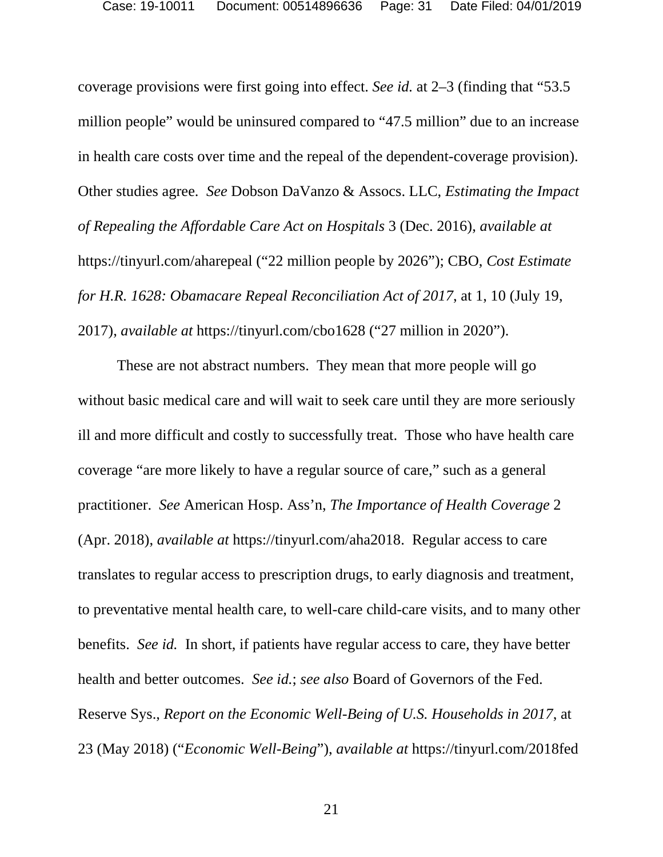coverage provisions were first going into effect. *See id.* at 2–3 (finding that "53.5 million people" would be uninsured compared to "47.5 million" due to an increase in health care costs over time and the repeal of the dependent-coverage provision). Other studies agree. *See* Dobson DaVanzo & Assocs. LLC, *Estimating the Impact of Repealing the Affordable Care Act on Hospitals* 3 (Dec. 2016), *available at* https://tinyurl.com/aharepeal ("22 million people by 2026"); CBO, *Cost Estimate for H.R. 1628: Obamacare Repeal Reconciliation Act of 2017*, at 1, 10 (July 19, 2017), *available at* https://tinyurl.com/cbo1628 ("27 million in 2020").

These are not abstract numbers. They mean that more people will go without basic medical care and will wait to seek care until they are more seriously ill and more difficult and costly to successfully treat. Those who have health care coverage "are more likely to have a regular source of care," such as a general practitioner. *See* American Hosp. Ass'n, *The Importance of Health Coverage* 2 (Apr. 2018), *available at* https://tinyurl.com/aha2018. Regular access to care translates to regular access to prescription drugs, to early diagnosis and treatment, to preventative mental health care, to well-care child-care visits, and to many other benefits. *See id.* In short, if patients have regular access to care, they have better health and better outcomes. *See id.*; *see also* Board of Governors of the Fed. Reserve Sys., *Report on the Economic Well-Being of U.S. Households in 2017*, at 23 (May 2018) ("*Economic Well-Being*"), *available at* https://tinyurl.com/2018fed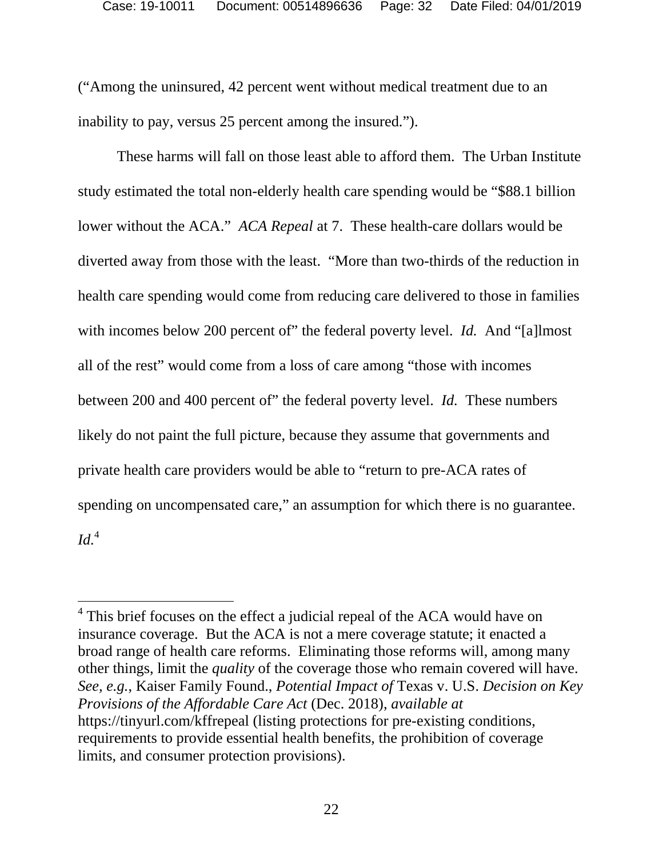("Among the uninsured, 42 percent went without medical treatment due to an inability to pay, versus 25 percent among the insured.").

These harms will fall on those least able to afford them. The Urban Institute study estimated the total non-elderly health care spending would be "\$88.1 billion lower without the ACA." *ACA Repeal* at 7. These health-care dollars would be diverted away from those with the least. "More than two-thirds of the reduction in health care spending would come from reducing care delivered to those in families with incomes below 200 percent of" the federal poverty level. *Id.* And "[a]lmost all of the rest" would come from a loss of care among "those with incomes between 200 and 400 percent of" the federal poverty level. *Id.* These numbers likely do not paint the full picture, because they assume that governments and private health care providers would be able to "return to pre-ACA rates of spending on uncompensated care," an assumption for which there is no guarantee.  $Id<sup>4</sup>$ 

<sup>&</sup>lt;sup>4</sup> This brief focuses on the effect a judicial repeal of the ACA would have on insurance coverage. But the ACA is not a mere coverage statute; it enacted a broad range of health care reforms. Eliminating those reforms will, among many other things, limit the *quality* of the coverage those who remain covered will have. *See, e.g.*, Kaiser Family Found., *Potential Impact of* Texas v. U.S. *Decision on Key Provisions of the Affordable Care Act* (Dec. 2018), *available at* https://tinyurl.com/kffrepeal (listing protections for pre-existing conditions, requirements to provide essential health benefits, the prohibition of coverage limits, and consumer protection provisions).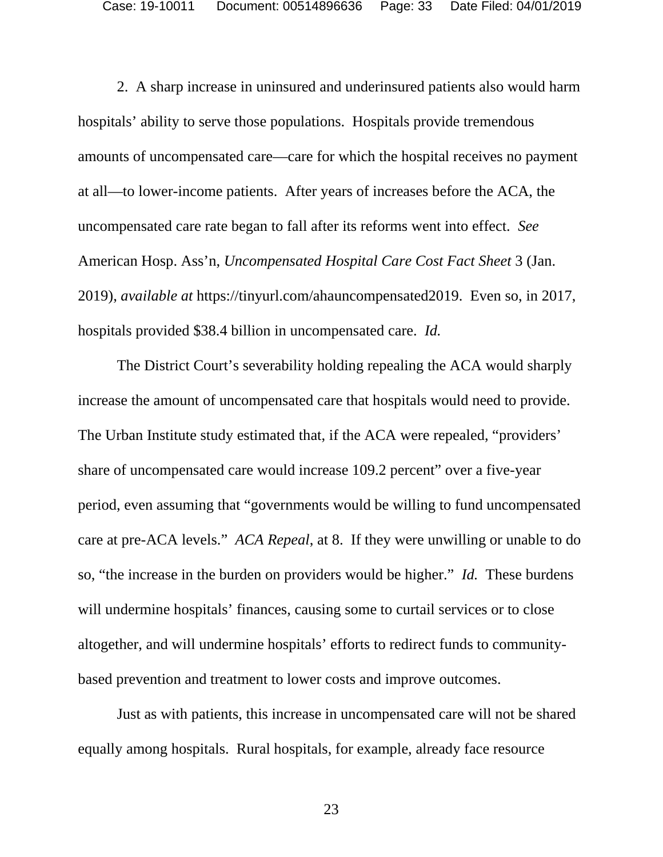2. A sharp increase in uninsured and underinsured patients also would harm hospitals' ability to serve those populations. Hospitals provide tremendous amounts of uncompensated care—care for which the hospital receives no payment at all—to lower-income patients. After years of increases before the ACA, the uncompensated care rate began to fall after its reforms went into effect. *See* American Hosp. Ass'n, *Uncompensated Hospital Care Cost Fact Sheet* 3 (Jan. 2019), *available at* https://tinyurl.com/ahauncompensated2019. Even so, in 2017, hospitals provided \$38.4 billion in uncompensated care. *Id.*

The District Court's severability holding repealing the ACA would sharply increase the amount of uncompensated care that hospitals would need to provide. The Urban Institute study estimated that, if the ACA were repealed, "providers' share of uncompensated care would increase 109.2 percent" over a five-year period, even assuming that "governments would be willing to fund uncompensated care at pre-ACA levels." *ACA Repeal*, at 8. If they were unwilling or unable to do so, "the increase in the burden on providers would be higher." *Id.* These burdens will undermine hospitals' finances, causing some to curtail services or to close altogether, and will undermine hospitals' efforts to redirect funds to communitybased prevention and treatment to lower costs and improve outcomes.

Just as with patients, this increase in uncompensated care will not be shared equally among hospitals. Rural hospitals, for example, already face resource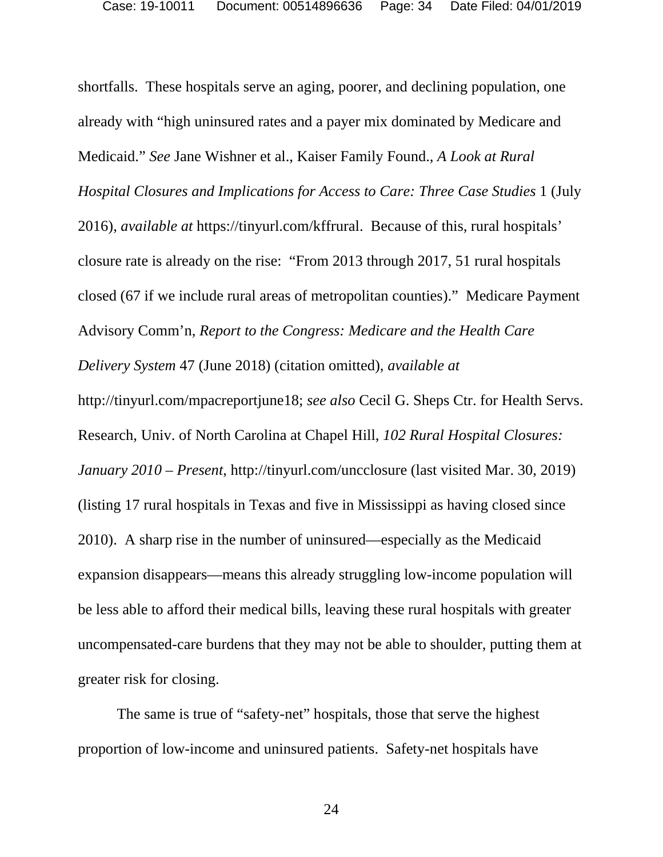shortfalls. These hospitals serve an aging, poorer, and declining population, one already with "high uninsured rates and a payer mix dominated by Medicare and Medicaid." *See* Jane Wishner et al., Kaiser Family Found., *A Look at Rural Hospital Closures and Implications for Access to Care: Three Case Studies* 1 (July 2016), *available at* https://tinyurl.com/kffrural. Because of this, rural hospitals' closure rate is already on the rise: "From 2013 through 2017, 51 rural hospitals closed (67 if we include rural areas of metropolitan counties)." Medicare Payment Advisory Comm'n, *Report to the Congress: Medicare and the Health Care Delivery System* 47 (June 2018) (citation omitted), *available at*  http://tinyurl.com/mpacreportjune18; *see also* Cecil G. Sheps Ctr. for Health Servs. Research, Univ. of North Carolina at Chapel Hill, *102 Rural Hospital Closures: January 2010 – Present*, http://tinyurl.com/uncclosure (last visited Mar. 30, 2019) (listing 17 rural hospitals in Texas and five in Mississippi as having closed since 2010). A sharp rise in the number of uninsured—especially as the Medicaid expansion disappears—means this already struggling low-income population will be less able to afford their medical bills, leaving these rural hospitals with greater uncompensated-care burdens that they may not be able to shoulder, putting them at

greater risk for closing.

The same is true of "safety-net" hospitals, those that serve the highest proportion of low-income and uninsured patients. Safety-net hospitals have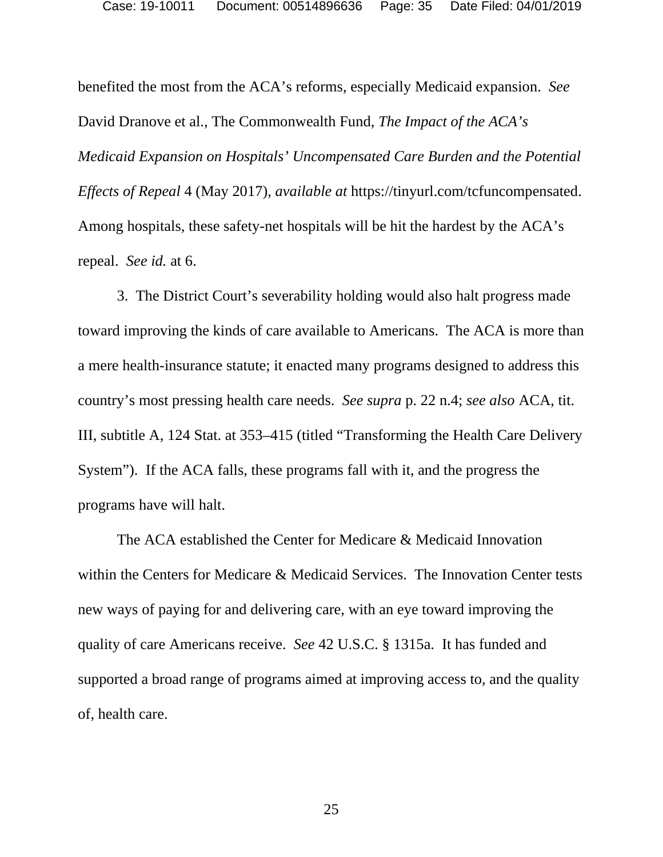benefited the most from the ACA's reforms, especially Medicaid expansion. *See*  David Dranove et al., The Commonwealth Fund, *The Impact of the ACA's Medicaid Expansion on Hospitals' Uncompensated Care Burden and the Potential Effects of Repeal* 4 (May 2017), *available at* https://tinyurl.com/tcfuncompensated. Among hospitals, these safety-net hospitals will be hit the hardest by the ACA's repeal. *See id.* at 6.

3. The District Court's severability holding would also halt progress made toward improving the kinds of care available to Americans. The ACA is more than a mere health-insurance statute; it enacted many programs designed to address this country's most pressing health care needs. *See supra* p. 22 n.4; *see also* ACA, tit. III, subtitle A, 124 Stat. at 353–415 (titled "Transforming the Health Care Delivery System"). If the ACA falls, these programs fall with it, and the progress the programs have will halt.

The ACA established the Center for Medicare & Medicaid Innovation within the Centers for Medicare & Medicaid Services. The Innovation Center tests new ways of paying for and delivering care, with an eye toward improving the quality of care Americans receive. *See* 42 U.S.C. § 1315a. It has funded and supported a broad range of programs aimed at improving access to, and the quality of, health care.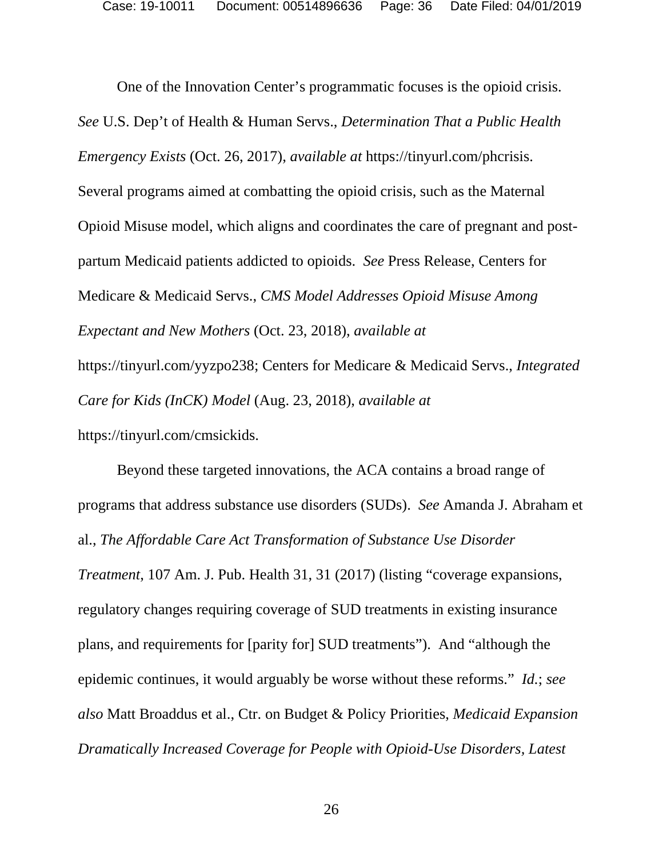One of the Innovation Center's programmatic focuses is the opioid crisis. *See* U.S. Dep't of Health & Human Servs., *Determination That a Public Health Emergency Exists* (Oct. 26, 2017), *available at* https://tinyurl.com/phcrisis. Several programs aimed at combatting the opioid crisis, such as the Maternal Opioid Misuse model, which aligns and coordinates the care of pregnant and postpartum Medicaid patients addicted to opioids. *See* Press Release, Centers for Medicare & Medicaid Servs., *CMS Model Addresses Opioid Misuse Among Expectant and New Mothers* (Oct. 23, 2018), *available at* https://tinyurl.com/yyzpo238; Centers for Medicare & Medicaid Servs., *Integrated Care for Kids (InCK) Model* (Aug. 23, 2018), *available at* https://tinyurl.com/cmsickids.

Beyond these targeted innovations, the ACA contains a broad range of programs that address substance use disorders (SUDs). *See* Amanda J. Abraham et al., *The Affordable Care Act Transformation of Substance Use Disorder Treatment*, 107 Am. J. Pub. Health 31, 31 (2017) (listing "coverage expansions, regulatory changes requiring coverage of SUD treatments in existing insurance plans, and requirements for [parity for] SUD treatments"). And "although the epidemic continues, it would arguably be worse without these reforms." *Id.*; *see also* Matt Broaddus et al., Ctr. on Budget & Policy Priorities, *Medicaid Expansion Dramatically Increased Coverage for People with Opioid-Use Disorders, Latest*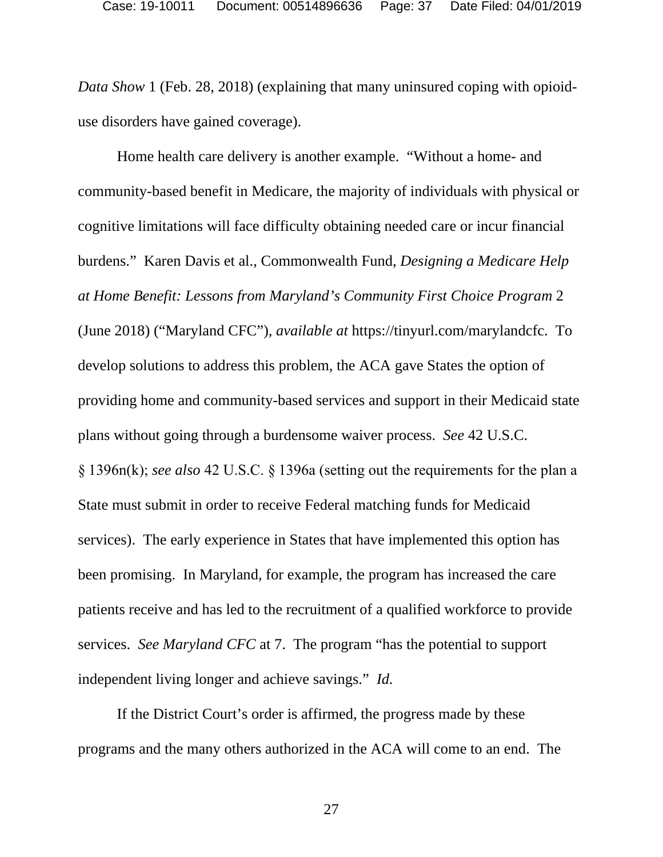*Data Show* 1 (Feb. 28, 2018) (explaining that many uninsured coping with opioiduse disorders have gained coverage).

Home health care delivery is another example. "Without a home- and community-based benefit in Medicare, the majority of individuals with physical or cognitive limitations will face difficulty obtaining needed care or incur financial burdens." Karen Davis et al., Commonwealth Fund, *Designing a Medicare Help at Home Benefit: Lessons from Maryland's Community First Choice Program* 2 (June 2018) ("Maryland CFC"), *available at* https://tinyurl.com/marylandcfc. To develop solutions to address this problem, the ACA gave States the option of providing home and community-based services and support in their Medicaid state plans without going through a burdensome waiver process. *See* 42 U.S.C. § 1396n(k); *see also* 42 U.S.C. § 1396a (setting out the requirements for the plan a State must submit in order to receive Federal matching funds for Medicaid services). The early experience in States that have implemented this option has been promising. In Maryland, for example, the program has increased the care patients receive and has led to the recruitment of a qualified workforce to provide services. *See Maryland CFC* at 7. The program "has the potential to support independent living longer and achieve savings." *Id.*

If the District Court's order is affirmed, the progress made by these programs and the many others authorized in the ACA will come to an end. The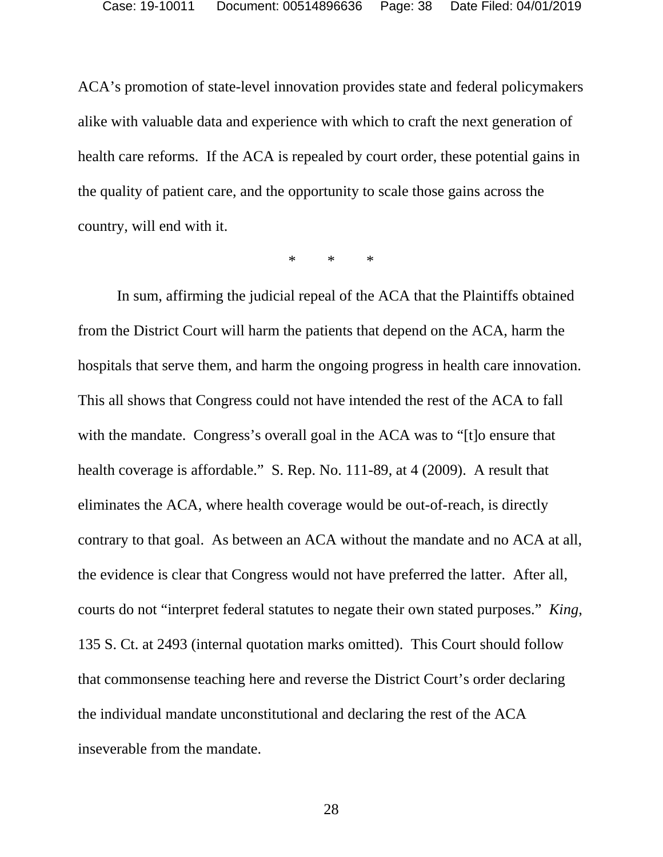ACA's promotion of state-level innovation provides state and federal policymakers alike with valuable data and experience with which to craft the next generation of health care reforms. If the ACA is repealed by court order, these potential gains in the quality of patient care, and the opportunity to scale those gains across the country, will end with it.

\* \* \*

In sum, affirming the judicial repeal of the ACA that the Plaintiffs obtained from the District Court will harm the patients that depend on the ACA, harm the hospitals that serve them, and harm the ongoing progress in health care innovation. This all shows that Congress could not have intended the rest of the ACA to fall with the mandate. Congress's overall goal in the ACA was to "[t] o ensure that health coverage is affordable." S. Rep. No. 111-89, at 4 (2009). A result that eliminates the ACA, where health coverage would be out-of-reach, is directly contrary to that goal. As between an ACA without the mandate and no ACA at all, the evidence is clear that Congress would not have preferred the latter. After all, courts do not "interpret federal statutes to negate their own stated purposes." *King*, 135 S. Ct. at 2493 (internal quotation marks omitted). This Court should follow that commonsense teaching here and reverse the District Court's order declaring the individual mandate unconstitutional and declaring the rest of the ACA inseverable from the mandate.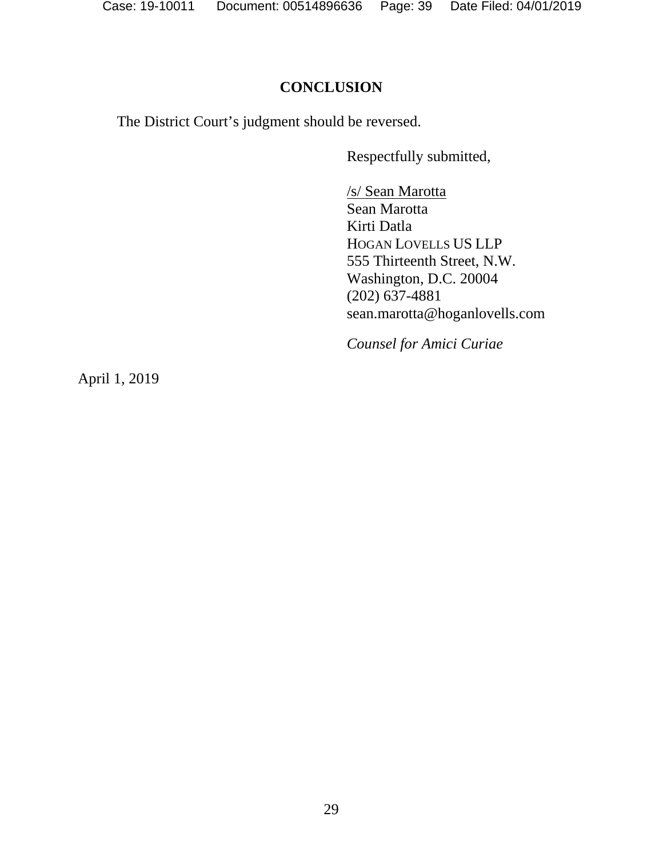### **CONCLUSION**

The District Court's judgment should be reversed.

Respectfully submitted,

/s/ Sean Marotta Sean Marotta Kirti Datla HOGAN LOVELLS US LLP 555 Thirteenth Street, N.W. Washington, D.C. 20004 (202) 637-4881 sean.marotta@hoganlovells.com

*Counsel for Amici Curiae*

April 1, 2019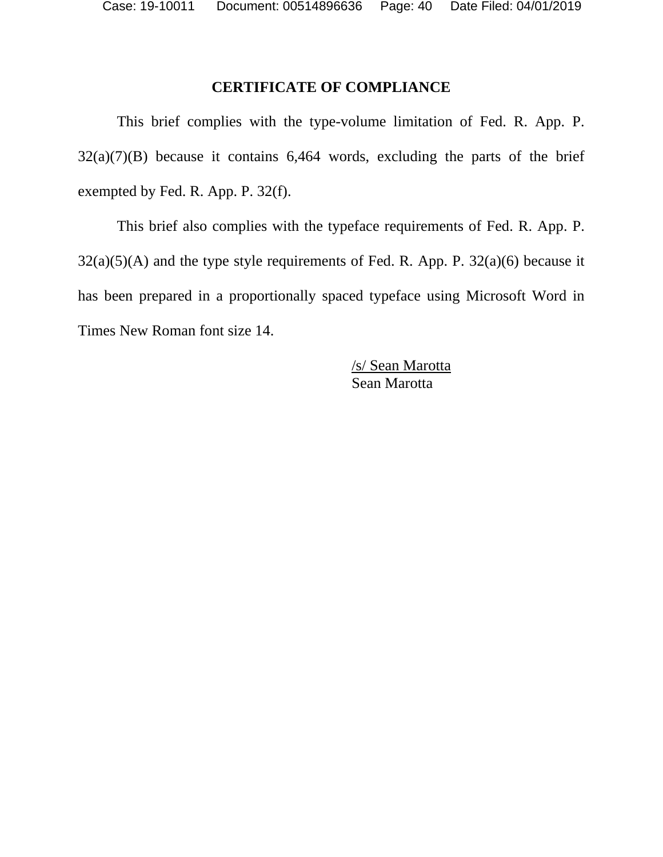Case: 19-10011 Document: 00514896636 Page: 40 Date Filed: 04/01/2019

### **CERTIFICATE OF COMPLIANCE**

This brief complies with the type-volume limitation of Fed. R. App. P.  $32(a)(7)(B)$  because it contains 6,464 words, excluding the parts of the brief exempted by Fed. R. App. P. 32(f).

This brief also complies with the typeface requirements of Fed. R. App. P.  $32(a)(5)(A)$  and the type style requirements of Fed. R. App. P.  $32(a)(6)$  because it has been prepared in a proportionally spaced typeface using Microsoft Word in Times New Roman font size 14.

> /s/ Sean Marotta Sean Marotta